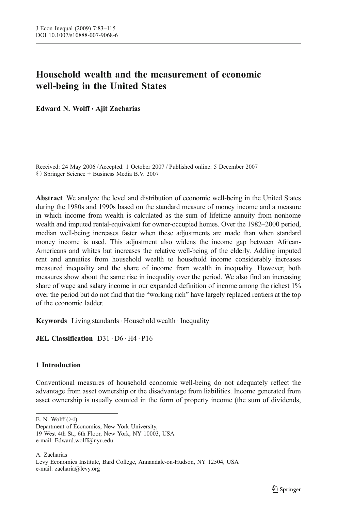# Household wealth and the measurement of economic well-being in the United States

Edward N. Wolff *&* Ajit Zacharias

Received: 24 May 2006 / Accepted: 1 October 2007 / Published online: 5 December 2007  $\oslash$  Springer Science + Business Media B.V. 2007

Abstract We analyze the level and distribution of economic well-being in the United States during the 1980s and 1990s based on the standard measure of money income and a measure in which income from wealth is calculated as the sum of lifetime annuity from nonhome wealth and imputed rental-equivalent for owner-occupied homes. Over the 1982–2000 period, median well-being increases faster when these adjustments are made than when standard money income is used. This adjustment also widens the income gap between African-Americans and whites but increases the relative well-being of the elderly. Adding imputed rent and annuities from household wealth to household income considerably increases measured inequality and the share of income from wealth in inequality. However, both measures show about the same rise in inequality over the period. We also find an increasing share of wage and salary income in our expanded definition of income among the richest 1% over the period but do not find that the "working rich" have largely replaced rentiers at the top of the economic ladder.

Keywords Living standards . Household wealth . Inequality

JEL Classification  $D31 \cdot D6 \cdot H4 \cdot P16$ 

# 1 Introduction

Conventional measures of household economic well-being do not adequately reflect the advantage from asset ownership or the disadvantage from liabilities. Income generated from asset ownership is usually counted in the form of property income (the sum of dividends,

E. N. Wolff  $(\boxtimes)$ 

Department of Economics, New York University, 19 West 4th St., 6th Floor, New York, NY 10003, USA

e-mail: Edward.wolff@nyu.edu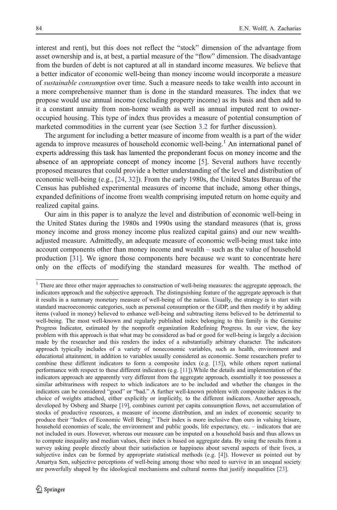interest and rent), but this does not reflect the "stock" dimension of the advantage from asset ownership and is, at best, a partial measure of the "flow" dimension. The disadvantage from the burden of debt is not captured at all in standard income measures. We believe that a better indicator of economic well-being than money income would incorporate a measure of sustainable consumption over time. Such a measure needs to take wealth into account in a more comprehensive manner than is done in the standard measures. The index that we propose would use annual income (excluding property income) as its basis and then add to it a constant annuity from non-home wealth as well as annual imputed rent to owneroccupied housing. This type of index thus provides a measure of potential consumption of marketed commodities in the current year (see Section [3.2](#page-5-0) for further discussion).

The argument for including a better measure of income from wealth is a part of the wider agenda to improve measures of household economic well-being.<sup>1</sup> An international panel of experts addressing this task has lamented the preponderant focus on money income and the absence of an appropriate concept of money income [\[5](#page-31-0)]. Several authors have recently proposed measures that could provide a better understanding of the level and distribution of economic well-being (e.g., [\[24,](#page-32-0) [32](#page-32-0)]). From the early 1980s, the United States Bureau of the Census has published experimental measures of income that include, among other things, expanded definitions of income from wealth comprising imputed return on home equity and realized capital gains.

Our aim in this paper is to analyze the level and distribution of economic well-being in the United States during the 1980s and 1990s using the standard measures (that is, gross money income and gross money income plus realized capital gains) and our new wealthadjusted measure. Admittedly, an adequate measure of economic well-being must take into account components other than money income and wealth – such as the value of household production [\[31\]](#page-32-0). We ignore those components here because we want to concentrate here only on the effects of modifying the standard measures for wealth. The method of

<sup>&</sup>lt;sup>1</sup> There are three other major approaches to construction of well-being measures: the aggregate approach, the indicators approach and the subjective approach. The distinguishing feature of the aggregate approach is that it results in a summary monetary measure of well-being of the nation. Usually, the strategy is to start with standard macroeconomic categories, such as personal consumption or the GDP, and then modify it by adding items (valued in money) believed to enhance well-being and subtracting items believed to be detrimental to well-being. The most well-known and regularly published index belonging to this family is the Genuine Progress Indicator, estimated by the nonprofit organization Redefining Progress. In our view, the key problem with this approach is that what may be considered as bad or good for well-being is largely a decision made by the researcher and this renders the index of a substantially arbitrary character. The indicators approach typically includes of a variety of noneconomic variables, such as health, environment and educational attainment, in addition to variables usually considered as economic. Some researchers prefer to combine these different indicators to form a composite index (e.g. [\[15](#page-32-0)]), while others report national performance with respect to these different indicators (e.g. [[11](#page-32-0)]).While the details and implementation of the indicators approach are apparently very different from the aggregate approach, essentially it too possesses a similar arbitrariness with respect to which indicators are to be included and whether the changes in the indicators can be considered "good" or "bad." A further well-known problem with composite indexes is the choice of weights attached, either explicitly or implicitly, to the different indicators. Another approach, developed by Osberg and Sharpe [\[19\]](#page-32-0), combines current per capita consumption flows, net accumulation of stocks of productive resources, a measure of income distribution, and an index of economic security to produce their "Index of Economic Well Being." Their index is more inclusive than ours in valuing leisure, household economies of scale, the environment and public goods, life expectancy, etc. – indicators that are not included in ours. However, whereas our measure can be imputed on a household basis and thus allows us to compute inequality and median values, their index is based on aggregate data. By using the results from a survey asking people directly about their satisfaction or happiness about several aspects of their lives, a subjective index can be formed by appropriate statistical methods (e.g. [\[4](#page-31-0)]). However as pointed out by Amartya Sen, subjective perceptions of well-being among those who need to survive in an unequal society are powerfully shaped by the ideological mechanisms and cultural norms that justify inequalities [[23\]](#page-32-0).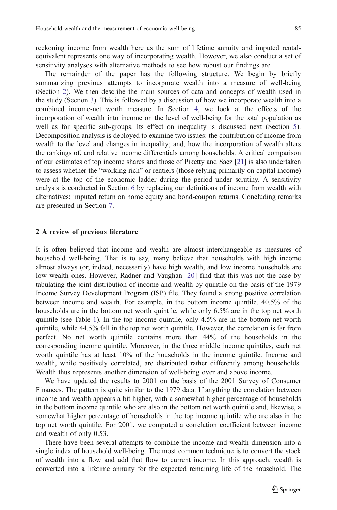reckoning income from wealth here as the sum of lifetime annuity and imputed rentalequivalent represents one way of incorporating wealth. However, we also conduct a set of sensitivity analyses with alternative methods to see how robust our findings are.

The remainder of the paper has the following structure. We begin by briefly summarizing previous attempts to incorporate wealth into a measure of well-being (Section 2). We then describe the main sources of data and concepts of wealth used in the study (Section [3](#page-4-0)). This is followed by a discussion of how we incorporate wealth into a combined income-net worth measure. In Section [4](#page-8-0), we look at the effects of the incorporation of wealth into income on the level of well-being for the total population as well as for specific sub-groups. Its effect on inequality is discussed next (Section [5](#page-15-0)). Decomposition analysis is deployed to examine two issues: the contribution of income from wealth to the level and changes in inequality; and, how the incorporation of wealth alters the rankings of, and relative income differentials among households. A critical comparison of our estimates of top income shares and those of Piketty and Saez [\[21\]](#page-32-0) is also undertaken to assess whether the "working rich" or rentiers (those relying primarily on capital income) were at the top of the economic ladder during the period under scrutiny. A sensitivity analysis is conducted in Section [6](#page-25-0) by replacing our definitions of income from wealth with alternatives: imputed return on home equity and bond-coupon returns. Concluding remarks are presented in Section [7.](#page-30-0)

#### 2 A review of previous literature

It is often believed that income and wealth are almost interchangeable as measures of household well-being. That is to say, many believe that households with high income almost always (or, indeed, necessarily) have high wealth, and low income households are low wealth ones. However, Radner and Vaughan [\[20\]](#page-32-0) find that this was not the case by tabulating the joint distribution of income and wealth by quintile on the basis of the 1979 Income Survey Development Program (ISP) file. They found a strong positive correlation between income and wealth. For example, in the bottom income quintile, 40.5% of the households are in the bottom net worth quintile, while only 6.5% are in the top net worth quintile (see Table [1](#page-3-0)). In the top income quintile, only 4.5% are in the bottom net worth quintile, while 44.5% fall in the top net worth quintile. However, the correlation is far from perfect. No net worth quintile contains more than 44% of the households in the corresponding income quintile. Moreover, in the three middle income quintiles, each net worth quintile has at least 10% of the households in the income quintile. Income and wealth, while positively correlated, are distributed rather differently among households. Wealth thus represents another dimension of well-being over and above income.

We have updated the results to 2001 on the basis of the 2001 Survey of Consumer Finances. The pattern is quite similar to the 1979 data. If anything the correlation between income and wealth appears a bit higher, with a somewhat higher percentage of households in the bottom income quintile who are also in the bottom net worth quintile and, likewise, a somewhat higher percentage of households in the top income quintile who are also in the top net worth quintile. For 2001, we computed a correlation coefficient between income and wealth of only 0.53.

There have been several attempts to combine the income and wealth dimension into a single index of household well-being. The most common technique is to convert the stock of wealth into a flow and add that flow to current income. In this approach, wealth is converted into a lifetime annuity for the expected remaining life of the household. The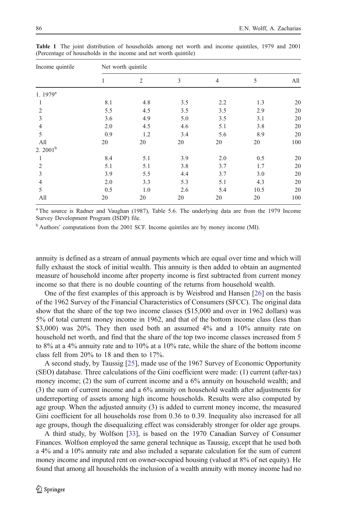| Income quintile     |     | Net worth quintile |     |                |      |     |  |  |  |  |
|---------------------|-----|--------------------|-----|----------------|------|-----|--|--|--|--|
|                     |     | $\overline{2}$     | 3   | $\overline{4}$ | 5    | All |  |  |  |  |
| 1.1979 <sup>a</sup> |     |                    |     |                |      |     |  |  |  |  |
| 1                   | 8.1 | 4.8                | 3.5 | 2.2            | 1.3  | 20  |  |  |  |  |
| $\overline{2}$      | 5.5 | 4.5                | 3.5 | 3.5            | 2.9  | 20  |  |  |  |  |
| 3                   | 3.6 | 4.9                | 5.0 | 3.5            | 3.1  | 20  |  |  |  |  |
| $\overline{4}$      | 2.0 | 4.5                | 4.6 | 5.1            | 3.8  | 20  |  |  |  |  |
| 5                   | 0.9 | 1.2                | 3.4 | 5.6            | 8.9  | 20  |  |  |  |  |
| All                 | 20  | 20                 | 20  | 20             | 20   | 100 |  |  |  |  |
| 2.2001 <sup>b</sup> |     |                    |     |                |      |     |  |  |  |  |
| 1                   | 8.4 | 5.1                | 3.9 | 2.0            | 0.5  | 20  |  |  |  |  |
| $\overline{2}$      | 5.1 | 5.1                | 3.8 | 3.7            | 1.7  | 20  |  |  |  |  |
| 3                   | 3.9 | 5.5                | 4.4 | 3.7            | 3.0  | 20  |  |  |  |  |
| 4                   | 2.0 | 3.3                | 5.3 | 5.1            | 4.3  | 20  |  |  |  |  |
| 5                   | 0.5 | 1.0                | 2.6 | 5.4            | 10.5 | 20  |  |  |  |  |
| All                 | 20  | 20                 | 20  | 20             | 20   | 100 |  |  |  |  |

<span id="page-3-0"></span>Table 1 The joint distribution of households among net worth and income quintiles, 1979 and 2001 (Percentage of households in the income and net worth quintile)

<sup>a</sup> The source is Radner and Vaughan (1987), Table 5.6. The underlying data are from the 1979 Income Survey Development Program (ISDP) file.

<sup>b</sup> Authors' computations from the 2001 SCF. Income quintiles are by money income (MI).

annuity is defined as a stream of annual payments which are equal over time and which will fully exhaust the stock of initial wealth. This annuity is then added to obtain an augmented measure of household income after property income is first subtracted from current money income so that there is no double counting of the returns from household wealth.

One of the first examples of this approach is by Weisbrod and Hansen [[26](#page-32-0)] on the basis of the 1962 Survey of the Financial Characteristics of Consumers (SFCC). The original data show that the share of the top two income classes (\$15,000 and over in 1962 dollars) was 5% of total current money income in 1962, and that of the bottom income class (less than \$3,000) was 20%. They then used both an assumed 4% and a 10% annuity rate on household net worth, and find that the share of the top two income classes increased from 5 to 8% at a 4% annuity rate and to 10% at a 10% rate, while the share of the bottom income class fell from 20% to 18 and then to 17%.

A second study, by Taussig [[25\]](#page-32-0), made use of the 1967 Survey of Economic Opportunity (SEO) database. Three calculations of the Gini coefficient were made: (1) current (after-tax) money income; (2) the sum of current income and a 6% annuity on household wealth; and (3) the sum of current income and a 6% annuity on household wealth after adjustments for underreporting of assets among high income households. Results were also computed by age group. When the adjusted annuity (3) is added to current money income, the measured Gini coefficient for all households rose from 0.36 to 0.39. Inequality also increased for all age groups, though the disequalizing effect was considerably stronger for older age groups.

A third study, by Wolfson [\[33](#page-32-0)], is based on the 1970 Canadian Survey of Consumer Finances. Wolfson employed the same general technique as Taussig, except that he used both a 4% and a 10% annuity rate and also included a separate calculation for the sum of current money income and imputed rent on owner-occupied housing (valued at 8% of net equity). He found that among all households the inclusion of a wealth annuity with money income had no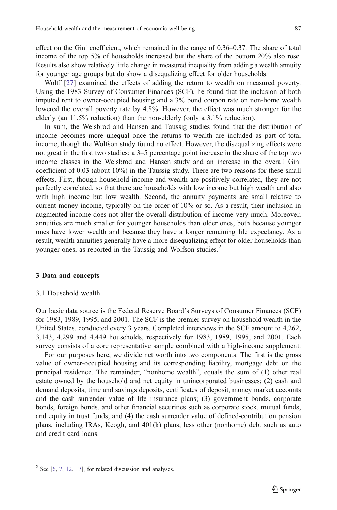<span id="page-4-0"></span>effect on the Gini coefficient, which remained in the range of 0.36–0.37. The share of total income of the top 5% of households increased but the share of the bottom 20% also rose. Results also show relatively little change in measured inequality from adding a wealth annuity for younger age groups but do show a disequalizing effect for older households.

Wolff [[27\]](#page-32-0) examined the effects of adding the return to wealth on measured poverty. Using the 1983 Survey of Consumer Finances (SCF), he found that the inclusion of both imputed rent to owner-occupied housing and a 3% bond coupon rate on non-home wealth lowered the overall poverty rate by 4.8%. However, the effect was much stronger for the elderly (an 11.5% reduction) than the non-elderly (only a 3.1% reduction).

In sum, the Weisbrod and Hansen and Taussig studies found that the distribution of income becomes more unequal once the returns to wealth are included as part of total income, though the Wolfson study found no effect. However, the disequalizing effects were not great in the first two studies: a 3–5 percentage point increase in the share of the top two income classes in the Weisbrod and Hansen study and an increase in the overall Gini coefficient of 0.03 (about 10%) in the Taussig study. There are two reasons for these small effects. First, though household income and wealth are positively correlated, they are not perfectly correlated, so that there are households with low income but high wealth and also with high income but low wealth. Second, the annuity payments are small relative to current money income, typically on the order of 10% or so. As a result, their inclusion in augmented income does not alter the overall distribution of income very much. Moreover, annuities are much smaller for younger households than older ones, both because younger ones have lower wealth and because they have a longer remaining life expectancy. As a result, wealth annuities generally have a more disequalizing effect for older households than younger ones, as reported in the Taussig and Wolfson studies.<sup>2</sup>

#### 3 Data and concepts

## 3.1 Household wealth

Our basic data source is the Federal Reserve Board's Surveys of Consumer Finances (SCF) for 1983, 1989, 1995, and 2001. The SCF is the premier survey on household wealth in the United States, conducted every 3 years. Completed interviews in the SCF amount to 4,262, 3,143, 4,299 and 4,449 households, respectively for 1983, 1989, 1995, and 2001. Each survey consists of a core representative sample combined with a high-income supplement.

For our purposes here, we divide net worth into two components. The first is the gross value of owner-occupied housing and its corresponding liability, mortgage debt on the principal residence. The remainder, "nonhome wealth", equals the sum of (1) other real estate owned by the household and net equity in unincorporated businesses; (2) cash and demand deposits, time and savings deposits, certificates of deposit, money market accounts and the cash surrender value of life insurance plans; (3) government bonds, corporate bonds, foreign bonds, and other financial securities such as corporate stock, mutual funds, and equity in trust funds; and (4) the cash surrender value of defined-contribution pension plans, including IRAs, Keogh, and 401(k) plans; less other (nonhome) debt such as auto and credit card loans.

 $2$  See [[6,](#page-31-0) [7](#page-31-0), [12,](#page-32-0) [17](#page-32-0)], for related discussion and analyses.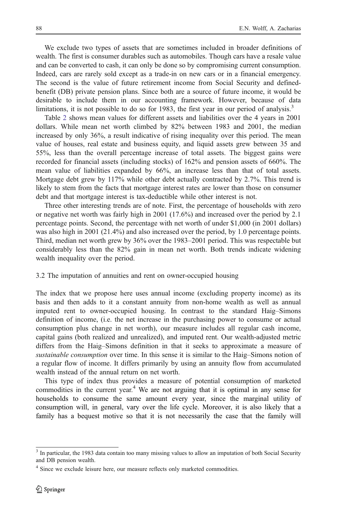<span id="page-5-0"></span>We exclude two types of assets that are sometimes included in broader definitions of wealth. The first is consumer durables such as automobiles. Though cars have a resale value and can be converted to cash, it can only be done so by compromising current consumption. Indeed, cars are rarely sold except as a trade-in on new cars or in a financial emergency. The second is the value of future retirement income from Social Security and definedbenefit (DB) private pension plans. Since both are a source of future income, it would be desirable to include them in our accounting framework. However, because of data limitations, it is not possible to do so for 1983, the first year in our period of analysis.<sup>3</sup>

Table [2](#page-6-0) shows mean values for different assets and liabilities over the 4 years in 2001 dollars. While mean net worth climbed by 82% between 1983 and 2001, the median increased by only 36%, a result indicative of rising inequality over this period. The mean value of houses, real estate and business equity, and liquid assets grew between 35 and 55%, less than the overall percentage increase of total assets. The biggest gains were recorded for financial assets (including stocks) of 162% and pension assets of 660%. The mean value of liabilities expanded by 66%, an increase less than that of total assets. Mortgage debt grew by 117% while other debt actually contracted by 2.7%. This trend is likely to stem from the facts that mortgage interest rates are lower than those on consumer debt and that mortgage interest is tax-deductible while other interest is not.

Three other interesting trends are of note. First, the percentage of households with zero or negative net worth was fairly high in 2001 (17.6%) and increased over the period by 2.1 percentage points. Second, the percentage with net worth of under \$1,000 (in 2001 dollars) was also high in 2001 (21.4%) and also increased over the period, by 1.0 percentage points. Third, median net worth grew by 36% over the 1983–2001 period. This was respectable but considerably less than the 82% gain in mean net worth. Both trends indicate widening wealth inequality over the period.

## 3.2 The imputation of annuities and rent on owner-occupied housing

The index that we propose here uses annual income (excluding property income) as its basis and then adds to it a constant annuity from non-home wealth as well as annual imputed rent to owner-occupied housing. In contrast to the standard Haig–Simons definition of income, (i.e. the net increase in the purchasing power to consume or actual consumption plus change in net worth), our measure includes all regular cash income, capital gains (both realized and unrealized), and imputed rent. Our wealth-adjusted metric differs from the Haig–Simons definition in that it seeks to approximate a measure of sustainable consumption over time. In this sense it is similar to the Haig–Simons notion of a regular flow of income. It differs primarily by using an annuity flow from accumulated wealth instead of the annual return on net worth.

This type of index thus provides a measure of potential consumption of marketed commodities in the current year.<sup>4</sup> We are not arguing that it is optimal in any sense for households to consume the same amount every year, since the marginal utility of consumption will, in general, vary over the life cycle. Moreover, it is also likely that a family has a bequest motive so that it is not necessarily the case that the family will

<sup>&</sup>lt;sup>3</sup> In particular, the 1983 data contain too many missing values to allow an imputation of both Social Security and DB pension wealth.

<sup>&</sup>lt;sup>4</sup> Since we exclude leisure here, our measure reflects only marketed commodities.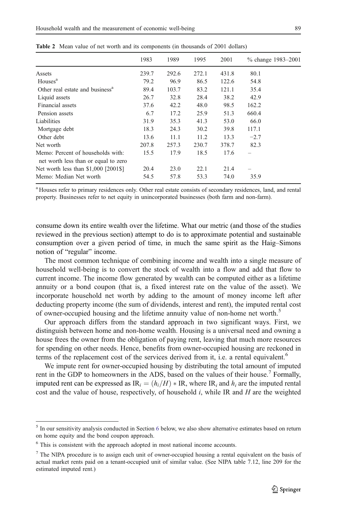|                                                                           | 1983  | 1989  | 1995  | 2001  | % change 1983–2001 |
|---------------------------------------------------------------------------|-------|-------|-------|-------|--------------------|
| Assets                                                                    | 239.7 | 292.6 | 272.1 | 431.8 | 80.1               |
| Houses <sup>a</sup>                                                       | 79.2  | 96.9  | 86.5  | 122.6 | 54.8               |
| Other real estate and business <sup>a</sup>                               | 89.4  | 103.7 | 83.2  | 121.1 | 35.4               |
| Liquid assets                                                             | 26.7  | 32.8  | 28.4  | 38.2  | 42.9               |
| Financial assets                                                          | 37.6  | 42.2  | 48.0  | 98.5  | 162.2              |
| Pension assets                                                            | 6.7   | 17.2  | 25.9  | 51.3  | 660.4              |
| Liabilities                                                               | 31.9  | 35.3  | 41.3  | 53.0  | 66.0               |
| Mortgage debt                                                             | 18.3  | 24.3  | 30.2  | 39.8  | 117.1              |
| Other debt                                                                | 13.6  | 11.1  | 11.2  | 13.3  | $-2.7$             |
| Net worth                                                                 | 207.8 | 257.3 | 230.7 | 378.7 | 82.3               |
| Memo: Percent of households with:<br>net worth less than or equal to zero | 15.5  | 17.9  | 18.5  | 17.6  |                    |
| Net worth less than \$1,000 [2001\$]                                      | 20.4  | 23.0  | 22.1  | 21.4  |                    |
| Memo: Median Net worth                                                    | 54.5  | 57.8  | 53.3  | 74.0  | 35.9               |

<span id="page-6-0"></span>Table 2 Mean value of net worth and its components (in thousands of 2001 dollars)

<sup>a</sup> Houses refer to primary residences only. Other real estate consists of secondary residences, land, and rental property. Businesses refer to net equity in unincorporated businesses (both farm and non-farm).

consume down its entire wealth over the lifetime. What our metric (and those of the studies reviewed in the previous section) attempt to do is to approximate potential and sustainable consumption over a given period of time, in much the same spirit as the Haig–Simons notion of "regular" income.

The most common technique of combining income and wealth into a single measure of household well-being is to convert the stock of wealth into a flow and add that flow to current income. The income flow generated by wealth can be computed either as a lifetime annuity or a bond coupon (that is, a fixed interest rate on the value of the asset). We incorporate household net worth by adding to the amount of money income left after deducting property income (the sum of dividends, interest and rent), the imputed rental cost of owner-occupied housing and the lifetime annuity value of non-home net worth.<sup>5</sup>

Our approach differs from the standard approach in two significant ways. First, we distinguish between home and non-home wealth. Housing is a universal need and owning a house frees the owner from the obligation of paying rent, leaving that much more resources for spending on other needs. Hence, benefits from owner-occupied housing are reckoned in terms of the replacement cost of the services derived from it, i.e. a rental equivalent.<sup>6</sup>

We impute rent for owner-occupied housing by distributing the total amount of imputed rent in the GDP to homeowners in the ADS, based on the values of their house.<sup>7</sup> Formally, imputed rent can be expressed as  $IR_i = (h_i/H) * IR$ , where  $IR_i$  and  $h_i$  are the imputed rental cost and the value of house, respectively, of household  $i$ , while IR and  $H$  are the weighted

 $<sup>5</sup>$  In our sensitivity analysis conducted in Section [6](#page-25-0) below, we also show alternative estimates based on return</sup> on home equity and the bond coupon approach.

<sup>&</sup>lt;sup>6</sup> This is consistent with the approach adopted in most national income accounts.

 $<sup>7</sup>$  The NIPA procedure is to assign each unit of owner-occupied housing a rental equivalent on the basis of</sup> actual market rents paid on a tenant-occupied unit of similar value. (See NIPA table 7.12, line 209 for the estimated imputed rent.)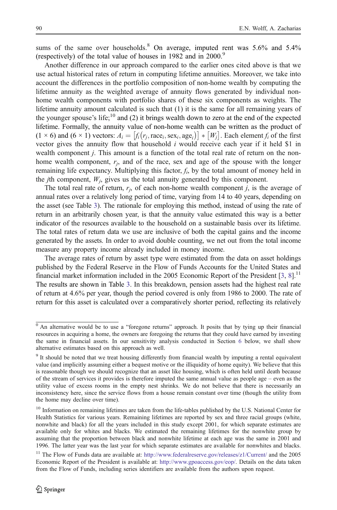sums of the same over households.<sup>8</sup> On average, imputed rent was 5.6% and 5.4% (respectively) of the total value of houses in 1982 and in  $2000$ .<sup>9</sup>

Another difference in our approach compared to the earlier ones cited above is that we use actual historical rates of return in computing lifetime annuities. Moreover, we take into account the differences in the portfolio composition of non-home wealth by computing the lifetime annuity as the weighted average of annuity flows generated by individual nonhome wealth components with portfolio shares of these six components as weights. The lifetime annuity amount calculated is such that (1) it is the same for all remaining years of the younger spouse's life;<sup>10</sup> and (2) it brings wealth down to zero at the end of the expected lifetime. Formally, the annuity value of non-home wealth can be written as the product of  $(1 \times 6)$  and  $(6 \times 1)$  vectors:  $A_i = [f_i(r_j, \text{race}_i, \text{sex}_i, \text{age}_i)] * [W_j]$ . Each element  $f_i$  of the first vector gives the annuity flow that household  $i$  would receive each year if it held \$1 in wealth component j. This amount is a function of the total real rate of return on the nonhome wealth component,  $r_i$ , and of the race, sex and age of the spouse with the longer remaining life expectancy. Multiplying this factor,  $f_i$ , by the total amount of money held in the *j*th component,  $W_i$ , gives us the total annuity generated by this component.

The total real rate of return,  $r_i$ , of each non-home wealth component *j*, is the average of annual rates over a relatively long period of time, varying from 14 to 40 years, depending on the asset (see Table [3\)](#page-8-0). The rationale for employing this method, instead of using the rate of return in an arbitrarily chosen year, is that the annuity value estimated this way is a better indicator of the resources available to the household on a sustainable basis over its lifetime. The total rates of return data we use are inclusive of both the capital gains and the income generated by the assets. In order to avoid double counting, we net out from the total income measure any property income already included in money income.

The average rates of return by asset type were estimated from the data on asset holdings published by the Federal Reserve in the Flow of Funds Accounts for the United States and financial market information included in the 2005 Economic Report of the President  $[3, 8]$  $[3, 8]$  $[3, 8]$ .<sup>11</sup> The results are shown in Table [3.](#page-8-0) In this breakdown, pension assets had the highest real rate of return at 4.6% per year, though the period covered is only from 1986 to 2000. The rate of return for this asset is calculated over a comparatively shorter period, reflecting its relatively

<sup>&</sup>lt;sup>0</sup> An alternative would be to use a "foregone returns" approach. It posits that by tying up their financial resources in acquiring a home, the owners are foregoing the returns that they could have earned by investing the same in financial assets. In our sensitivity analysis conducted in Section [6](#page-25-0) below, we shall show alternative estimates based on this approach as well.

<sup>&</sup>lt;sup>9</sup> It should be noted that we treat housing differently from financial wealth by imputing a rental equivalent value (and implicitly assuming either a bequest motive or the illiquidity of home equity). We believe that this is reasonable though we should recognize that an asset like housing, which is often held until death because of the stream of services it provides is therefore imputed the same annual value as people age – even as the utility value of excess rooms in the empty nest shrinks. We do not believe that there is necessarily an inconsistency here, since the service flows from a house remain constant over time (though the utility from the home may decline over time).

<sup>&</sup>lt;sup>10</sup> Information on remaining lifetimes are taken from the life-tables published by the U.S. National Center for Health Statistics for various years. Remaining lifetimes are reported by sex and three racial groups (white, nonwhite and black) for all the years included in this study except 2001, for which separate estimates are available only for whites and blacks. We estimated the remaining lifetimes for the nonwhite group by assuming that the proportion between black and nonwhite lifetime at each age was the same in 2001 and 1996. The latter year was the last year for which separate estimates are available for nonwhites and blacks.

<sup>&</sup>lt;sup>11</sup> The Flow of Funds data are available at: <http://www.federalreserve.gov/releases/z1/Current/> and the 2005 Economic Report of the President is available at: <http://www.gpoaccess.gov/eop/>. Details on the data taken from the Flow of Funds, including series identifiers are available from the authors upon request.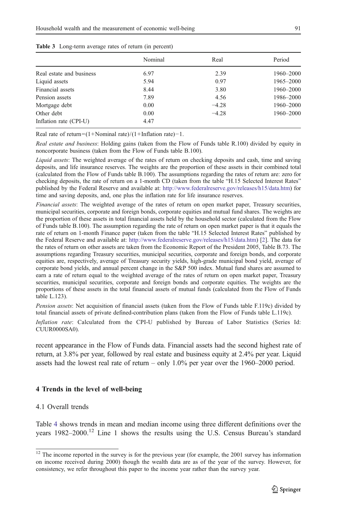|                          | Nominal | Real    | Period    |
|--------------------------|---------|---------|-----------|
| Real estate and business | 6.97    | 2.39    | 1960-2000 |
| Liquid assets            | 5.94    | 0.97    | 1965-2000 |
| Financial assets         | 8.44    | 3.80    | 1960-2000 |
| Pension assets           | 7.89    | 4.56    | 1986-2000 |
| Mortgage debt            | 0.00    | $-4.28$ | 1960-2000 |
| Other debt               | 0.00    | $-4.28$ | 1960-2000 |
| Inflation rate (CPI-U)   | 4.47    |         |           |

<span id="page-8-0"></span>

| Table 3 Long-term average rates of return (in percent) |  |  |  |  |
|--------------------------------------------------------|--|--|--|--|
|--------------------------------------------------------|--|--|--|--|

Real rate of return= $(1+Normal rate)/(1+Inflation rate)-1$ .

Real estate and business: Holding gains (taken from the Flow of Funds table R.100) divided by equity in noncorporate business (taken from the Flow of Funds table B.100).

Liquid assets: The weighted average of the rates of return on checking deposits and cash, time and saving deposits, and life insurance reserves. The weights are the proportion of these assets in their combined total (calculated from the Flow of Funds table B.100). The assumptions regarding the rates of return are: zero for checking deposits, the rate of return on a 1-month CD (taken from the table "H.15 Selected Interest Rates" published by the Federal Reserve and available at: <http://www.federalreserve.gov/releases/h15/data.htm>) for time and saving deposits, and, one plus the inflation rate for life insurance reserves.

Financial assets: The weighted average of the rates of return on open market paper, Treasury securities, municipal securities, corporate and foreign bonds, corporate equities and mutual fund shares. The weights are the proportion of these assets in total financial assets held by the household sector (calculated from the Flow of Funds table B.100). The assumption regarding the rate of return on open market paper is that it equals the rate of return on 1-month Finance paper (taken from the table "H.15 Selected Interest Rates" published by the Federal Reserve and available at: <http://www.federalreserve.gov/releases/h15/data.htm>) [[2\]](#page-31-0). The data for the rates of return on other assets are taken from the Economic Report of the President 2005, Table B.73. The assumptions regarding Treasury securities, municipal securities, corporate and foreign bonds, and corporate equities are, respectively, average of Treasury security yields, high-grade municipal bond yield, average of corporate bond yields, and annual percent change in the S&P 500 index. Mutual fund shares are assumed to earn a rate of return equal to the weighted average of the rates of return on open market paper, Treasury securities, municipal securities, corporate and foreign bonds and corporate equities. The weights are the proportions of these assets in the total financial assets of mutual funds (calculated from the Flow of Funds table L.123).

Pension assets: Net acquisition of financial assets (taken from the Flow of Funds table F.119c) divided by total financial assets of private defined-contribution plans (taken from the Flow of Funds table L.119c).

Inflation rate: Calculated from the CPI-U published by Bureau of Labor Statistics (Series Id: CUUR0000SA0).

recent appearance in the Flow of Funds data. Financial assets had the second highest rate of return, at 3.8% per year, followed by real estate and business equity at 2.4% per year. Liquid assets had the lowest real rate of return – only 1.0% per year over the 1960–2000 period.

#### 4 Trends in the level of well-being

## 4.1 Overall trends

Table [4](#page-9-0) shows trends in mean and median income using three different definitions over the years 1982–2000.<sup>12</sup> Line 1 shows the results using the U.S. Census Bureau's standard

<sup>&</sup>lt;sup>12</sup> The income reported in the survey is for the previous year (for example, the 2001 survey has information on income received during 2000) though the wealth data are as of the year of the survey. However, for consistency, we refer throughout this paper to the income year rather than the survey year.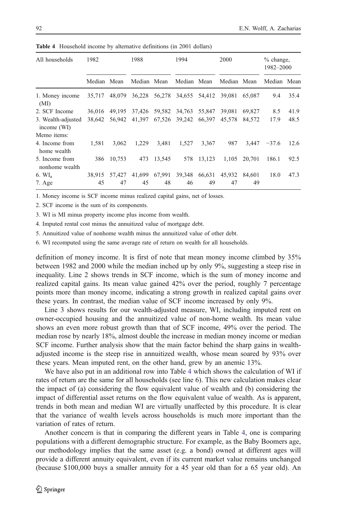| All households                    | 1982        |        | 1988        |        | 1994        |        | 2000        |        | $%$ change,<br>1982-2000 |      |
|-----------------------------------|-------------|--------|-------------|--------|-------------|--------|-------------|--------|--------------------------|------|
|                                   | Median Mean |        | Median Mean |        | Median Mean |        | Median Mean |        | Median Mean              |      |
| 1. Money income<br>(MI)           | 35,717      | 48,079 | 36,228      | 56,278 | 34,655      | 54,412 | 39,081      | 65,087 | 9.4                      | 35.4 |
| 2. SCF Income                     | 36,016      | 49.195 | 37,426      | 59,582 | 34,763      | 55,847 | 39,081      | 69,827 | 8.5                      | 41.9 |
| 3. Wealth-adjusted<br>income (WI) | 38,642      | 56,942 | 41,397      | 67,526 | 39,242      | 66,397 | 45.578      | 84.572 | 17.9                     | 48.5 |
| Memo items:                       |             |        |             |        |             |        |             |        |                          |      |
| 4. Income from<br>home wealth     | 1,581       | 3,062  | 1,229       | 3.481  | 1,527       | 3,367  | 987         | 3,447  | $-37.6$                  | 12.6 |
| 5. Income from<br>nonhome wealth  | 386         | 10,753 | 473         | 13,545 | 578         | 13,123 | 1,105       | 20,701 | 186.1                    | 92.5 |
| 6. Wl <sub>a</sub>                | 38,915      | 57,427 | 41,699      | 67,991 | 39,348      | 66,631 | 45,932      | 84,601 | 18.0                     | 47.3 |
| 7. Age                            | 45          | 47     | 45          | 48     | 46          | 49     | 47          | 49     |                          |      |

<span id="page-9-0"></span>Table 4 Household income by alternative definitions (in 2001 dollars)

1. Money income is SCF income minus realized capital gains, net of losses.

2. SCF income is the sum of its components.

3. WI is MI minus property income plus income from wealth.

4. Imputed rental cost minus the annuitized value of mortgage debt.

5. Annuitized value of nonhome wealth minus the annuitized value of other debt.

6. WI recomputed using the same average rate of return on wealth for all households.

definition of money income. It is first of note that mean money income climbed by 35% between 1982 and 2000 while the median inched up by only 9%, suggesting a steep rise in inequality. Line 2 shows trends in SCF income, which is the sum of money income and realized capital gains. Its mean value gained 42% over the period, roughly 7 percentage points more than money income, indicating a strong growth in realized capital gains over these years. In contrast, the median value of SCF income increased by only 9%.

Line 3 shows results for our wealth-adjusted measure, WI, including imputed rent on owner-occupied housing and the annuitized value of non-home wealth. Its mean value shows an even more robust growth than that of SCF income, 49% over the period. The median rose by nearly 18%, almost double the increase in median money income or median SCF income. Further analysis show that the main factor behind the sharp gains in wealthadjusted income is the steep rise in annuitized wealth, whose mean soared by 93% over these years. Mean imputed rent, on the other hand, grew by an anemic 13%.

We have also put in an additional row into Table 4 which shows the calculation of WI if rates of return are the same for all households (see line 6). This new calculation makes clear the impact of (a) considering the flow equivalent value of wealth and (b) considering the impact of differential asset returns on the flow equivalent value of wealth. As is apparent, trends in both mean and median WI are virtually unaffected by this procedure. It is clear that the variance of wealth levels across households is much more important than the variation of rates of return.

Another concern is that in comparing the different years in Table 4, one is comparing populations with a different demographic structure. For example, as the Baby Boomers age, our methodology implies that the same asset (e.g. a bond) owned at different ages will provide a different annuity equivalent, even if its current market value remains unchanged (because \$100,000 buys a smaller annuity for a 45 year old than for a 65 year old). An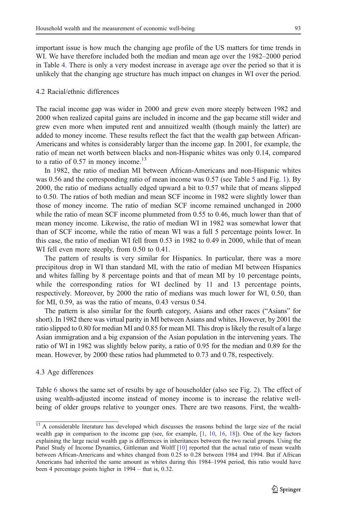important issue is how much the changing age profile of the US matters for time trends in WI. We have therefore included both the median and mean age over the 1982–2000 period in Table [4.](#page-9-0) There is only a very modest increase in average age over the period so that it is unlikely that the changing age structure has much impact on changes in WI over the period.

#### 4.2 Racial/ethnic differences

The racial income gap was wider in 2000 and grew even more steeply between 1982 and 2000 when realized capital gains are included in income and the gap became still wider and grew even more when imputed rent and annuitized wealth (though mainly the latter) are added to money income. These results reflect the fact that the wealth gap between African-Americans and whites is considerably larger than the income gap. In 2001, for example, the ratio of mean net worth between blacks and non-Hispanic whites was only 0.14, compared to a ratio of  $0.57$  in money income.<sup>13</sup>

In 1982, the ratio of median MI between African-Americans and non-Hispanic whites was 0.56 and the corresponding ratio of mean income was 0.57 (see Table [5](#page-11-0) and Fig. [1\)](#page-12-0). By 2000, the ratio of medians actually edged upward a bit to 0.57 while that of means slipped to 0.50. The ratios of both median and mean SCF income in 1982 were slightly lower than those of money income. The ratio of median SCF income remained unchanged in 2000 while the ratio of mean SCF income plummeted from 0.55 to 0.46, much lower than that of mean money income. Likewise, the ratio of median WI in 1982 was somewhat lower that than of SCF income, while the ratio of mean WI was a full 5 percentage points lower. In this case, the ratio of median WI fell from 0.53 in 1982 to 0.49 in 2000, while that of mean WI fell even more steeply, from 0.50 to 0.41.

The pattern of results is very similar for Hispanics. In particular, there was a more precipitous drop in WI than standard MI, with the ratio of median MI between Hispanics and whites falling by 8 percentage points and that of mean MI by 10 percentage points, while the corresponding ratios for WI declined by 11 and 13 percentage points, respectively. Moreover, by 2000 the ratio of medians was much lower for WI, 0.50, than for MI, 0.59, as was the ratio of means, 0.43 versus 0.54.

The pattern is also similar for the fourth category, Asians and other races ("Asians" for short). In 1982 there was virtual parity in MI between Asians and whites. However, by 2001 the ratio slipped to 0.80 for median MI and 0.85 for mean MI. This drop is likely the result of a large Asian immigration and a big expansion of the Asian population in the intervening years. The ratio of WI in 1982 was slightly below parity, a ratio of 0.95 for the median and 0.89 for the mean. However, by 2000 these ratios had plummeted to 0.73 and 0.78, respectively.

## 4.3 Age differences

Table [6](#page-13-0) shows the same set of results by age of householder (also see Fig. [2\)](#page-14-0). The effect of using wealth-adjusted income instead of money income is to increase the relative wellbeing of older groups relative to younger ones. There are two reasons. First, the wealth-

 $\frac{13}{13}$  A considerable literature has developed which discusses the reasons behind the large size of the racial wealth gap in comparison to the income gap (see, for example, [\[1](#page-31-0), [10,](#page-32-0) [16,](#page-32-0) [18](#page-32-0)]). One of the key factors explaining the large racial wealth gap is differences in inheritances between the two racial groups. Using the Panel Study of Income Dynamics, Gittleman and Wolff [[10\]](#page-32-0) reported that the actual ratio of mean wealth between African-Americans and whites changed from 0.25 to 0.28 between 1984 and 1994. But if African Americans had inherited the same amount as whites during this 1984–1994 period, this ratio would have been 4 percentage points higher in 1994 – that is, 0.32.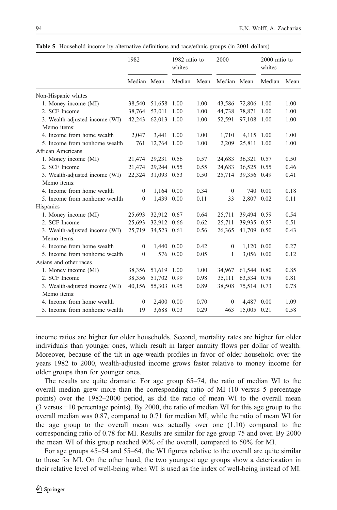|                                | 1982             |             | 1982 ratio to<br>whites |      | 2000         |             | whites   | 2000 ratio to |  |
|--------------------------------|------------------|-------------|-------------------------|------|--------------|-------------|----------|---------------|--|
|                                | Median Mean      |             | Median                  | Mean | Median Mean  |             | Median   | Mean          |  |
| Non-Hispanic whites            |                  |             |                         |      |              |             |          |               |  |
| 1. Money income (MI)           | 38,540           | 51,658      | 1.00                    | 1.00 | 43,586       | 72,806      | 1.00     | 1.00          |  |
| 2. SCF Income                  | 38,764           | 53,011      | 1.00                    | 1.00 | 44,738       | 78,871      | 1.00     | 1.00          |  |
| 3. Wealth-adjusted income (WI) | 42,243           | 62,013      | 1.00                    | 1.00 | 52,591       | 97,108 1.00 |          | 1.00          |  |
| Memo items:                    |                  |             |                         |      |              |             |          |               |  |
| 4. Income from home wealth     | 2,047            | 3,441       | 1.00                    | 1.00 | 1,710        | 4,115       | 1.00     | 1.00          |  |
| 5. Income from nonhome wealth  | 761              | 12,764      | 1.00                    | 1.00 | 2,209        | 25,811      | 1.00     | 1.00          |  |
| African Americans              |                  |             |                         |      |              |             |          |               |  |
| 1. Money income (MI)           | 21,474           | 29,231 0.56 |                         | 0.57 | 24,683       | 36,321 0.57 |          | 0.50          |  |
| 2. SCF Income                  | 21,474           | 29,244 0.55 |                         | 0.55 | 24,683       | 36,525 0.55 |          | 0.46          |  |
| 3. Wealth-adjusted income (WI) | 22,324           | 31,093 0.53 |                         | 0.50 | 25,714       | 39,356 0.49 |          | 0.41          |  |
| Memo items:                    |                  |             |                         |      |              |             |          |               |  |
| 4. Income from home wealth     | $\theta$         | 1,164 0.00  |                         | 0.34 | $\Omega$     |             | 740 0.00 | 0.18          |  |
| 5. Income from nonhome wealth  | $\mathbf{0}$     | 1,439 0.00  |                         | 0.11 | 33           | 2,807 0.02  |          | 0.11          |  |
| Hispanics                      |                  |             |                         |      |              |             |          |               |  |
| 1. Money income (MI)           | 25,693           | 32,912 0.67 |                         | 0.64 | 25,711       | 39,494 0.59 |          | 0.54          |  |
| 2. SCF Income                  | 25,693           | 32,912 0.66 |                         | 0.62 | 25,711       | 39,935 0.57 |          | 0.51          |  |
| 3. Wealth-adjusted income (WI) | 25,719           | 34,523 0.61 |                         | 0.56 | 26,365       | 41,709 0.50 |          | 0.43          |  |
| Memo items:                    |                  |             |                         |      |              |             |          |               |  |
| 4. Income from home wealth     | $\mathbf{0}$     | 1.440 0.00  |                         | 0.42 | $\mathbf{0}$ | 1,120 0.00  |          | 0.27          |  |
| 5. Income from nonhome wealth  | $\mathbf{0}$     |             | 576 0.00                | 0.05 | 1            | 3,056 0.00  |          | 0.12          |  |
| Asians and other races         |                  |             |                         |      |              |             |          |               |  |
| 1. Money income (MI)           | 38,356           | 51,619 1.00 |                         | 1.00 | 34,967       | 61,544 0.80 |          | 0.85          |  |
| 2. SCF Income                  | 38,356           | 51,702 0.99 |                         | 0.98 | 35,111       | 63,534 0.78 |          | 0.81          |  |
| 3. Wealth-adjusted income (WI) | 40,156           | 55,303 0.95 |                         | 0.89 | 38,508       | 75,514 0.73 |          | 0.78          |  |
| Memo items:                    |                  |             |                         |      |              |             |          |               |  |
| 4. Income from home wealth     | $\boldsymbol{0}$ | 2,400 0.00  |                         | 0.70 | $\mathbf{0}$ | 4,487 0.00  |          | 1.09          |  |
| 5. Income from nonhome wealth  | 19               | 3,688 0.03  |                         | 0.29 | 463          | 15,005 0.21 |          | 0.58          |  |

<span id="page-11-0"></span>Table 5 Household income by alternative definitions and race/ethnic groups (in 2001 dollars)

income ratios are higher for older households. Second, mortality rates are higher for older individuals than younger ones, which result in larger annuity flows per dollar of wealth. Moreover, because of the tilt in age-wealth profiles in favor of older household over the years 1982 to 2000, wealth-adjusted income grows faster relative to money income for older groups than for younger ones.

The results are quite dramatic. For age group 65–74, the ratio of median WI to the overall median grew more than the corresponding ratio of MI (10 versus 5 percentage points) over the 1982–2000 period, as did the ratio of mean WI to the overall mean (3 versus −10 percentage points). By 2000, the ratio of median WI for this age group to the overall median was 0.87, compared to 0.71 for median MI, while the ratio of mean WI for the age group to the overall mean was actually over one (1.10) compared to the corresponding ratio of 0.78 for MI. Results are similar for age group 75 and over. By 2000 the mean WI of this group reached 90% of the overall, compared to 50% for MI.

For age groups 45–54 and 55–64, the WI figures relative to the overall are quite similar to those for MI. On the other hand, the two youngest age groups show a deterioration in their relative level of well-being when WI is used as the index of well-being instead of MI.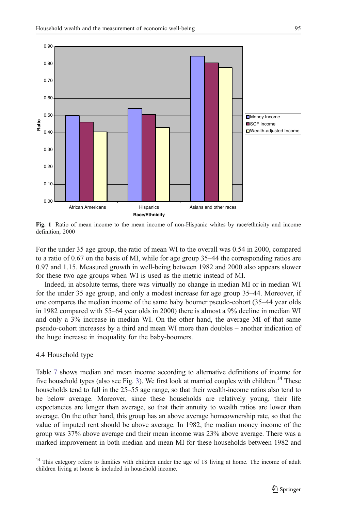<span id="page-12-0"></span>

Fig. 1 Ratio of mean income to the mean income of non-Hispanic whites by race/ethnicity and income definition, 2000

For the under 35 age group, the ratio of mean WI to the overall was 0.54 in 2000, compared to a ratio of 0.67 on the basis of MI, while for age group 35–44 the corresponding ratios are 0.97 and 1.15. Measured growth in well-being between 1982 and 2000 also appears slower for these two age groups when WI is used as the metric instead of MI.

Indeed, in absolute terms, there was virtually no change in median MI or in median WI for the under 35 age group, and only a modest increase for age group 35–44. Moreover, if one compares the median income of the same baby boomer pseudo-cohort (35–44 year olds in 1982 compared with 55–64 year olds in 2000) there is almost a 9% decline in median WI and only a 3% increase in median WI. On the other hand, the average MI of that same pseudo-cohort increases by a third and mean WI more than doubles – another indication of the huge increase in inequality for the baby-boomers.

#### 4.4 Household type

Table [7](#page-15-0) shows median and mean income according to alternative definitions of income for five household types (also see Fig. [3\)](#page-16-0). We first look at married couples with children.<sup>14</sup> These households tend to fall in the 25–55 age range, so that their wealth-income ratios also tend to be below average. Moreover, since these households are relatively young, their life expectancies are longer than average, so that their annuity to wealth ratios are lower than average. On the other hand, this group has an above average homeownership rate, so that the value of imputed rent should be above average. In 1982, the median money income of the group was 37% above average and their mean income was 23% above average. There was a marked improvement in both median and mean MI for these households between 1982 and

<sup>&</sup>lt;sup>14</sup> This category refers to families with children under the age of 18 living at home. The income of adult children living at home is included in household income.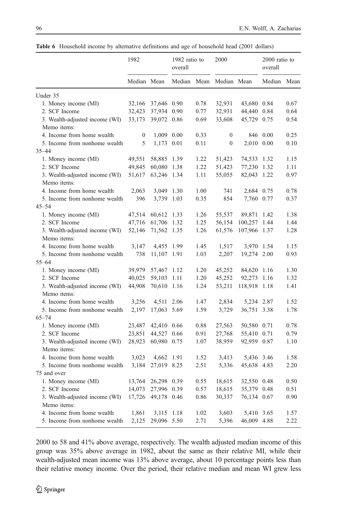|                                               | 1982         |             | 1982 ratio to<br>overall | 2000 |              |             | overall  | 2000 ratio to |  |
|-----------------------------------------------|--------------|-------------|--------------------------|------|--------------|-------------|----------|---------------|--|
|                                               | Median Mean  |             | Median                   | Mean | Median Mean  |             | Median   | Mean          |  |
| Under 35                                      |              |             |                          |      |              |             |          |               |  |
| 1. Money income (MI)                          | 32,166       | 37,646      | 0.90                     | 0.78 | 32,931       | 43,680 0.84 |          | 0.67          |  |
| 2. SCF Income                                 | 32,423       | 37,934 0.90 |                          | 0.77 | 32,931       | 44,440 0.84 |          | 0.64          |  |
| 3. Wealth-adjusted income (WI)                | 33,173       | 39,072      | 0.86                     | 0.69 | 33,608       | 45,729 0.75 |          | 0.54          |  |
| Memo items:                                   |              |             |                          |      |              |             |          |               |  |
| 4. Income from home wealth                    | $\mathbf{0}$ | 1,009       | 0.00                     | 0.33 | $\theta$     |             | 846 0.00 | 0.25          |  |
| 5. Income from nonhome wealth                 | 5            | 1,173       | 0.01                     | 0.11 | $\mathbf{0}$ | 2,010 0.00  |          | 0.10          |  |
| $35 - 44$                                     |              |             |                          |      |              |             |          |               |  |
| 1. Money income (MI)                          | 49,551       | 58,885      | 1.39                     | 1.22 | 51,423       | 74,533 1.32 |          | 1.15          |  |
| 2. SCF Income                                 | 49,845       | 60,080      | 1.38                     | 1.22 | 51,423       | 77,230      | 1.32     | 1.11          |  |
| 3. Wealth-adjusted income (WI)                | 51,617       | 63,246      | 1.34                     | 1.11 | 55,055       | 82,043      | 1.22     | 0.97          |  |
| Memo items:                                   |              |             |                          |      |              |             |          |               |  |
| 4. Income from home wealth                    | 2,063        | 3.049       | 1.30                     | 1.00 | 741          | 2,684 0.75  |          | 0.78          |  |
| 5. Income from nonhome wealth                 | 396          | 3,739       | 1.03                     | 0.35 | 854          | 7,760 0.77  |          | 0.37          |  |
| $45 - 54$                                     |              |             |                          |      |              |             |          |               |  |
| 1. Money income (MI)                          | 47,514       | 60,612      | 1.33                     | 1.26 | 55,537       | 89,871      | 1.42     | 1.38          |  |
| 2. SCF Income                                 | 47,716       | 61,706      | 1.32                     | 1.25 | 56,154       | 100,257     | 1.44     | 1.44          |  |
| 3. Wealth-adjusted income (WI)                | 52,146       | 71,562      | 1.35                     | 1.26 | 61,576       | 107,966     | 1.37     | 1.28          |  |
| Memo items:                                   |              |             |                          |      |              |             |          |               |  |
| 4. Income from home wealth                    | 3,147        | 4,455       | 1.99                     | 1.45 | 1,517        | 3,970       | 1.54     | 1.15          |  |
| 5. Income from nonhome wealth                 | 738          | 11,107      | 1.91                     | 1.03 | 2,207        | 19,274 2.00 |          | 0.93          |  |
| $55 - 64$                                     |              |             |                          |      |              |             |          |               |  |
| 1. Money income (MI)                          | 39,979       | 57,467      | 1.12                     | 1.20 | 45,252       | 84,620      | 1.16     | 1.30          |  |
| 2. SCF Income                                 | 40,025       | 59,103      | 1.11                     | 1.20 | 45,252       | 92,273      | 1.16     | 1.32          |  |
| 3. Wealth-adjusted income (WI)                | 44,908       | 70,610      | 1.16                     | 1.24 | 53,211       | 118,918     | 1.18     | 1.41          |  |
| Memo items:                                   |              |             |                          |      |              |             |          |               |  |
| 4. Income from home wealth                    | 3,256        | 4,511       | 2.06                     | 1.47 | 2,834        | 5,234 2.87  |          | 1.52          |  |
| 5. Income from nonhome wealth                 | 2,197        | 17,063      | 5.69                     | 1.59 | 3,729        | 36,751 3.38 |          | 1.78          |  |
| $65 - 74$                                     |              |             |                          |      |              |             |          |               |  |
| 1. Money income (MI)                          | 23,487       | 42,410 0.66 |                          | 0.88 | 27,563       | 50,580 0.71 |          | 0.78          |  |
| 2. SCF Income                                 | 23,851       | 44,527      | 0.66                     | 0.91 | 27,768       | 55,410 0.71 |          | 0.79          |  |
| 3. Wealth-adjusted income (WI)<br>Memo items: | 28,923       | 60,980 0.75 |                          | 1.07 | 38,959       | 92,959 0.87 |          | 1.10          |  |
| 4. Income from home wealth                    | 3,023        | 4,662       | 1.91                     | 1.52 | 3,413        | 5,436 3.46  |          | 1.58          |  |
| 5. Income from nonhome wealth                 | 3,184        | 27,019 8.25 |                          | 2.51 | 5,336        | 45,638 4.83 |          | 2.20          |  |
| 75 and over                                   |              |             |                          |      |              |             |          |               |  |
| 1. Money income (MI)                          | 13,764       | 26,298 0.39 |                          | 0.55 | 18,615       | 32,550 0.48 |          | 0.50          |  |
| 2. SCF Income                                 | 14,073       | 27,996      | 0.39                     | 0.57 | 18,615       | 35,379 0.48 |          | 0.51          |  |
| 3. Wealth-adjusted income (WI)                | 17,726       | 49,178 0.46 |                          | 0.86 | 30,337       | 76,134 0.67 |          | 0.90          |  |
| Memo items:                                   |              |             |                          |      |              |             |          |               |  |
| 4. Income from home wealth                    | 1,861        | 3,115       | 1.18                     | 1.02 | 3,603        | 5,410 3.65  |          | 1.57          |  |
| 5. Income from nonhome wealth                 | 2,125        | 29,096 5.50 |                          | 2.71 | 5,396        | 46,009 4.88 |          | 2.22          |  |

<span id="page-13-0"></span>Table 6 Household income by alternative definitions and age of household head (2001 dollars)

2000 to 58 and 41% above average, respectively. The wealth adjusted median income of this group was 35% above average in 1982, about the same as their relative MI, while their wealth-adjusted mean income was 13% above average, about 10 percentage points less than their relative money income. Over the period, their relative median and mean WI grew less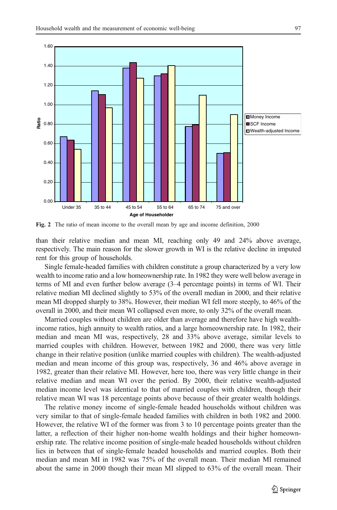<span id="page-14-0"></span>

Fig. 2 The ratio of mean income to the overall mean by age and income definition, 2000

than their relative median and mean MI, reaching only 49 and 24% above average, respectively. The main reason for the slower growth in WI is the relative decline in imputed rent for this group of households.

Single female-headed families with children constitute a group characterized by a very low wealth to income ratio and a low homeownership rate. In 1982 they were well below average in terms of MI and even further below average (3–4 percentage points) in terms of WI. Their relative median MI declined slightly to 53% of the overall median in 2000, and their relative mean MI dropped sharply to 38%. However, their median WI fell more steeply, to 46% of the overall in 2000, and their mean WI collapsed even more, to only 32% of the overall mean.

Married couples without children are older than average and therefore have high wealthincome ratios, high annuity to wealth ratios, and a large homeownership rate. In 1982, their median and mean MI was, respectively, 28 and 33% above average, similar levels to married couples with children. However, between 1982 and 2000, there was very little change in their relative position (unlike married couples with children). The wealth-adjusted median and mean income of this group was, respectively, 36 and 46% above average in 1982, greater than their relative MI. However, here too, there was very little change in their relative median and mean WI over the period. By 2000, their relative wealth-adjusted median income level was identical to that of married couples with children, though their relative mean WI was 18 percentage points above because of their greater wealth holdings.

The relative money income of single-female headed households without children was very similar to that of single-female headed families with children in both 1982 and 2000. However, the relative WI of the former was from 3 to 10 percentage points greater than the latter, a reflection of their higher non-home wealth holdings and their higher homeownership rate. The relative income position of single-male headed households without children lies in between that of single-female headed households and married couples. Both their median and mean MI in 1982 was 75% of the overall mean. Their median MI remained about the same in 2000 though their mean MI slipped to 63% of the overall mean. Their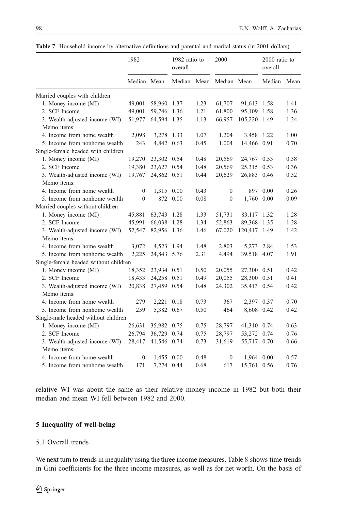| 4. Income from home wealth                                                                                   | $\Omega$ | 1,455 0.0 |  |
|--------------------------------------------------------------------------------------------------------------|----------|-----------|--|
| 5. Income from nonhome wealth                                                                                | 171      | 7,274 0.4 |  |
| elative WI was about the same as their relative<br>nedian and mean WI fell between 1982 and 200              |          |           |  |
| Inequality of well-being                                                                                     |          |           |  |
| .1 Overall trends                                                                                            |          |           |  |
| Ve next turn to trends in inequality using the three in<br>n Gini coefficients for the three income measures |          |           |  |
| $\supseteq$ Springer                                                                                         |          |           |  |
|                                                                                                              |          |           |  |

<span id="page-15-0"></span>Table 7 Household income by alternative definitions and parental and marital status (in 2001 dollars)

|                                       | 1982         |             | 1982 ratio to<br>overall |      | 2000             |             | 2000 ratio to<br>overall |      |
|---------------------------------------|--------------|-------------|--------------------------|------|------------------|-------------|--------------------------|------|
|                                       | Median Mean  |             | Median                   |      | Mean Median Mean |             | Median                   | Mean |
| Married couples with children         |              |             |                          |      |                  |             |                          |      |
| 1. Money income (MI)                  | 49,001       | 58,960      | 1.37                     | 1.23 | 61,707           | 91,613      | 1.58                     | 1.41 |
| 2. SCF Income                         | 49,001       | 59,746      | 1.36                     | 1.21 | 61,800           | 95,109      | 1.58                     | 1.36 |
| 3. Wealth-adjusted income (WI)        | 51,977       | 64,594      | 1.35                     | 1.13 | 66,957           | 105,220     | 1.49                     | 1.24 |
| Memo items:                           |              |             |                          |      |                  |             |                          |      |
| 4. Income from home wealth            | 2,098        | 3,278 1.33  |                          | 1.07 | 1,204            | 3,458 1.22  |                          | 1.00 |
| 5. Income from nonhome wealth         | 243          | 4,842 0.63  |                          | 0.45 | 1,004            | 14,466 0.91 |                          | 0.70 |
| Single-female headed with children    |              |             |                          |      |                  |             |                          |      |
| 1. Money income (MI)                  | 19,270       | 23,302 0.54 |                          | 0.48 | 20,569           | 24,767 0.53 |                          | 0.38 |
| 2. SCF Income                         | 19,380       | 23,627 0.54 |                          | 0.48 | 20,569           | 25,315 0.53 |                          | 0.36 |
| 3. Wealth-adjusted income (WI)        | 19,767       | 24,862 0.51 |                          | 0.44 | 20,629           | 26,883 0.46 |                          | 0.32 |
| Memo items:                           |              |             |                          |      |                  |             |                          |      |
| 4. Income from home wealth            | $\theta$     | 1,315       | 0.00                     | 0.43 | $\Omega$         | 897         | 0.00                     | 0.26 |
| 5. Income from nonhome wealth         | $\theta$     |             | 872 0.00                 | 0.08 | $\mathbf{0}$     | 1,760 0.00  |                          | 0.09 |
| Married couples without children      |              |             |                          |      |                  |             |                          |      |
| 1. Money income (MI)                  | 45,881       | 63,743      | 1.28                     | 1.33 | 51,731           | 83,117 1.32 |                          | 1.28 |
| 2. SCF Income                         | 45,991       | 66,038      | 1.28                     | 1.34 | 52,863           | 89,368      | 1.35                     | 1.28 |
| 3. Wealth-adjusted income (WI)        | 52,547       | 82,956      | 1.36                     | 1.46 | 67,020           | 120,417     | 1.49                     | 1.42 |
| Memo items:                           |              |             |                          |      |                  |             |                          |      |
| 4. Income from home wealth            | 3,072        | 4,523 1.94  |                          | 1.48 | 2,803            | 5,273 2.84  |                          | 1.53 |
| 5. Income from nonhome wealth         | 2,225        | 24,843 5.76 |                          | 2.31 | 4,494            | 39,518 4.07 |                          | 1.91 |
| Single-female headed without children |              |             |                          |      |                  |             |                          |      |
| 1. Money income (MI)                  | 18,352       | 23,934 0.51 |                          | 0.50 | 20,055           | 27,300 0.51 |                          | 0.42 |
| 2. SCF Income                         | 18,433       | 24,258 0.51 |                          | 0.49 | 20,055           | 28,300 0.51 |                          | 0.41 |
| 3. Wealth-adjusted income (WI)        | 20,838       | 27,459 0.54 |                          | 0.48 | 24,302           | 35,413 0.54 |                          | 0.42 |
| Memo items:                           |              |             |                          |      |                  |             |                          |      |
| 4. Income from home wealth            | 279          | 2,221       | 0.18                     | 0.73 | 367              | 2,397 0.37  |                          | 0.70 |
| 5. Income from nonhome wealth.        | 259          | 5,382       | 0.67                     | 0.50 | 464              | 8,608 0.42  |                          | 0.42 |
| Single-male headed without children   |              |             |                          |      |                  |             |                          |      |
| 1. Money income (MI)                  | 26,631       | 35,982 0.75 |                          | 0.75 | 28,797           | 41,310 0.74 |                          | 0.63 |
| 2. SCF Income                         | 26,794       | 36,729 0.74 |                          | 0.75 | 28,797           | 53,272 0.74 |                          | 0.76 |
| 3. Wealth-adjusted income (WI)        | 28,417       | 41,546 0.74 |                          | 0.73 | 31,619           | 55,717 0.70 |                          | 0.66 |
| Memo items:                           |              |             |                          |      |                  |             |                          |      |
| 4. Income from home wealth            | $\mathbf{0}$ | 1,455 0.00  |                          | 0.48 | $\mathbf{0}$     | 1,964 0.00  |                          | 0.57 |
| 5. Income from nonhome wealth         | 171          | 7,274 0.44  |                          | 0.68 | 617              | 15,761 0.56 |                          | 0.76 |

relative WI was about the same as their relative money income in 1982 but both their median and mean WI fell between 1982 and 2000.

## 5 Inequality of well-being

# 5.1 Overall trends

We next turn to trends in inequality using the three income measures. Table [8](#page-17-0) shows time trends in Gini coefficients for the three income measures, as well as for net worth. On the basis of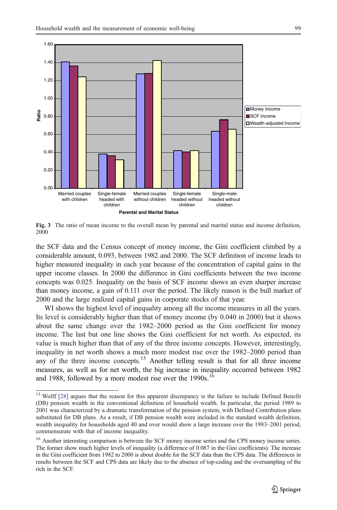<span id="page-16-0"></span>

Fig. 3 The ratio of mean income to the overall mean by parental and marital status and income definition, 2000

the SCF data and the Census concept of money income, the Gini coefficient climbed by a considerable amount, 0.093, between 1982 and 2000. The SCF definition of income leads to higher measured inequality in each year because of the concentration of capital gains in the upper income classes. In 2000 the difference in Gini coefficients between the two income concepts was 0.025. Inequality on the basis of SCF income shows an even sharper increase than money income, a gain of 0.111 over the period. The likely reason is the bull market of 2000 and the large realized capital gains in corporate stocks of that year.

WI shows the highest level of inequality among all the income measures in all the years. Its level is considerably higher than that of money income (by 0.040 in 2000) but it shows about the same change over the 1982–2000 period as the Gini coefficient for money income. The last but one line shows the Gini coefficient for net worth. As expected, its value is much higher than that of any of the three income concepts. However, interestingly, inequality in net worth shows a much more modest rise over the 1982–2000 period than any of the three income concepts.<sup>15</sup> Another telling result is that for all three income measures, as well as for net worth, the big increase in inequality occurred between 1982 and 1988, followed by a more modest rise over the 1990s.<sup>16</sup>

<sup>&</sup>lt;sup>15</sup> Wolff [[28\]](#page-32-0) argues that the reason for this apparent discrepancy is the failure to include Defined Benefit (DB) pension wealth in the conventional definition of household wealth. In particular, the period 1989 to 2001 was characterized by a dramatic transformation of the pension system, with Defined Contribution plans substituted for DB plans. As a result, if DB pension wealth were included in the standard wealth definition, wealth inequality for households aged 40 and over would show a large increase over the 1983–2001 period, commensurate with that of income inequality.

<sup>&</sup>lt;sup>16</sup> Another interesting comparison is between the SCF money income series and the CPS money income series. The former show much higher levels of inequality (a difference of 0.087 in the Gini coefficients). The increase in the Gini coefficient from 1982 to 2000 is about double for the SCF data than the CPS data. The differences in results between the SCF and CPS data are likely due to the absence of top-coding and the oversampling of the rich in the SCF.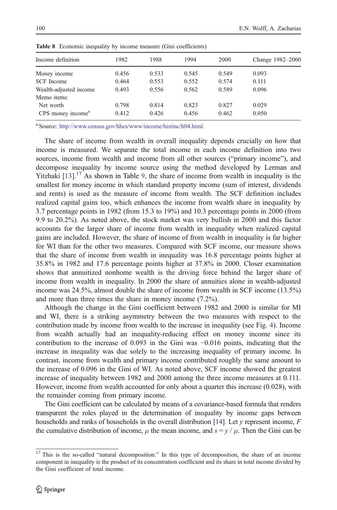| Income definition             | 1982  | 1988  | 1994  | 2000  | Change 1982-2000 |
|-------------------------------|-------|-------|-------|-------|------------------|
| Money income                  | 0.456 | 0.533 | 0.545 | 0.549 | 0.093            |
| <b>SCF</b> Income             | 0.464 | 0.553 | 0.552 | 0.574 | 0.111            |
| Wealth-adjusted income        | 0.493 | 0.556 | 0.562 | 0.589 | 0.096            |
| Memo items:                   |       |       |       |       |                  |
| Net worth                     | 0.798 | 0.814 | 0.823 | 0.827 | 0.029            |
| CPS money income <sup>a</sup> | 0.412 | 0.426 | 0.456 | 0.462 | 0.050            |
|                               |       |       |       |       |                  |

<span id="page-17-0"></span>Table 8 Economic inequality by income measure (Gini coefficients)

<sup>a</sup> Source: [http://www.census.gov/hhes/www/income/histinc/h04.html.](http://www.census.gov/hhes/www/income/histinc/h04.html)

The share of income from wealth in overall inequality depends crucially on how that income is measured. We separate the total income in each income definition into two sources, income from wealth and income from all other sources ("primary income"), and decompose inequality by income source using the method developed by Lerman and Yitzhaki  $[13]$ .<sup>17</sup> As shown in Table [9,](#page-18-0) the share of income from wealth in inequality is the smallest for money income in which standard property income (sum of interest, dividends and rents) is used as the measure of income from wealth. The SCF definition includes realized capital gains too, which enhances the income from wealth share in inequality by 3.7 percentage points in 1982 (from 15.3 to 19%) and 10.3 percentage points in 2000 (from 9.9 to 20.2%). As noted above, the stock market was very bullish in 2000 and this factor accounts for the larger share of income from wealth in inequality when realized capital gains are included. However, the share of income of from wealth in inequality is far higher for WI than for the other two measures. Compared with SCF income, our measure shows that the share of income from wealth in inequality was 16.8 percentage points higher at 35.8% in 1982 and 17.6 percentage points higher at 37.8% in 2000. Closer examination shows that annuitized nonhome wealth is the driving force behind the larger share of income from wealth in inequality. In 2000 the share of annuities alone in wealth-adjusted income was 24.5%, almost double the share of income from wealth in SCF income (13.5%) and more than three times the share in money income (7.2%).

Although the change in the Gini coefficient between 1982 and 2000 is similar for MI and WI, there is a striking asymmetry between the two measures with respect to the contribution made by income from wealth to the increase in inequality (see Fig. [4](#page-18-0)). Income from wealth actually had an inequality-reducing effect on money income since its contribution to the increase of 0.093 in the Gini was −0.016 points, indicating that the increase in inequality was due solely to the increasing inequality of primary income. In contrast, income from wealth and primary income contributed roughly the same amount to the increase of 0.096 in the Gini of WI. As noted above, SCF income showed the greatest increase of inequality between 1982 and 2000 among the three income measures at 0.111. However, income from wealth accounted for only about a quarter this increase (0.028), with the remainder coming from primary income.

The Gini coefficient can be calculated by means of a covariance-based formula that renders transparent the roles played in the determination of inequality by income gaps between households and ranks of households in the overall distribution [\[14](#page-32-0)]. Let  $\nu$  represent income, F the cumulative distribution of income,  $\mu$  the mean income, and  $s = y / \mu$ . Then the Gini can be

<sup>&</sup>lt;sup>17</sup> This is the so-called "natural decomposition." In this type of decomposition, the share of an income component in inequality is the product of its concentration coefficient and its share in total income divided by the Gini coefficient of total income.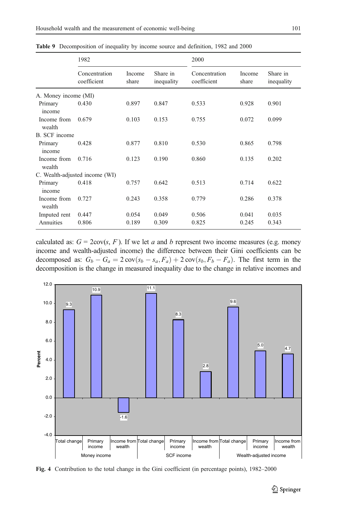|                       | 1982                           |                 |                        | 2000                         |                 |                        |  |
|-----------------------|--------------------------------|-----------------|------------------------|------------------------------|-----------------|------------------------|--|
|                       | Concentration<br>coefficient   | Income<br>share | Share in<br>inequality | Concentration<br>coefficient | Income<br>share | Share in<br>inequality |  |
| A. Money income (MI)  |                                |                 |                        |                              |                 |                        |  |
| Primary<br>income     | 0.430                          | 0.897           | 0.847                  | 0.533                        | 0.928           | 0.901                  |  |
| Income from<br>wealth | 0.679                          | 0.103           | 0.153                  | 0.755                        | 0.072           | 0.099                  |  |
| <b>B.</b> SCF income  |                                |                 |                        |                              |                 |                        |  |
| Primary<br>income     | 0.428                          | 0.877           | 0.810                  | 0.530                        | 0.865           | 0.798                  |  |
| Income from<br>wealth | 0.716                          | 0.123           | 0.190                  | 0.860                        | 0.135           | 0.202                  |  |
|                       | C. Wealth-adjusted income (WI) |                 |                        |                              |                 |                        |  |
| Primary<br>income     | 0.418                          | 0.757           | 0.642                  | 0.513                        | 0.714           | 0.622                  |  |
| Income from<br>wealth | 0.727                          | 0.243           | 0.358                  | 0.779                        | 0.286           | 0.378                  |  |
| Imputed rent          | 0.447                          | 0.054           | 0.049                  | 0.506                        | 0.041           | 0.035                  |  |
| Annuities             | 0.806                          | 0.189           | 0.309                  | 0.825                        | 0.245           | 0.343                  |  |

<span id="page-18-0"></span>Table 9 Decomposition of inequality by income source and definition, 1982 and 2000

calculated as:  $G = 2\text{cov}(s, F)$ . If we let a and b represent two income measures (e.g. money income and wealth-adjusted income) the difference between their Gini coefficients can be decomposed as:  $G_b - G_a = 2\cos(s_b - s_a, F_a) + 2\cos(s_b, F_b - F_a)$ . The first term in the decomposition is the change in measured inequality due to the change in relative incomes and



Fig. 4 Contribution to the total change in the Gini coefficient (in percentage points), 1982–2000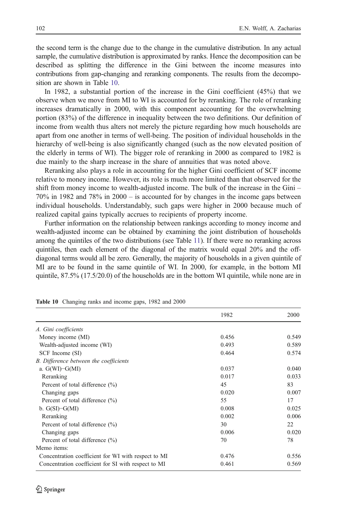the second term is the change due to the change in the cumulative distribution. In any actual sample, the cumulative distribution is approximated by ranks. Hence the decomposition can be described as splitting the difference in the Gini between the income measures into contributions from gap-changing and reranking components. The results from the decomposition are shown in Table 10.

In 1982, a substantial portion of the increase in the Gini coefficient (45%) that we observe when we move from MI to WI is accounted for by reranking. The role of reranking increases dramatically in 2000, with this component accounting for the overwhelming portion (83%) of the difference in inequality between the two definitions. Our definition of income from wealth thus alters not merely the picture regarding how much households are apart from one another in terms of well-being. The position of individual households in the hierarchy of well-being is also significantly changed (such as the now elevated position of the elderly in terms of WI). The bigger role of reranking in 2000 as compared to 1982 is due mainly to the sharp increase in the share of annuities that was noted above.

Reranking also plays a role in accounting for the higher Gini coefficient of SCF income relative to money income. However, its role is much more limited than that observed for the shift from money income to wealth-adjusted income. The bulk of the increase in the Gini – 70% in 1982 and 78% in 2000 – is accounted for by changes in the income gaps between individual households. Understandably, such gaps were higher in 2000 because much of realized capital gains typically accrues to recipients of property income.

Further information on the relationship between rankings according to money income and wealth-adjusted income can be obtained by examining the joint distribution of households among the quintiles of the two distributions (see Table [11\)](#page-20-0). If there were no reranking across quintiles, then each element of the diagonal of the matrix would equal 20% and the offdiagonal terms would all be zero. Generally, the majority of households in a given quintile of MI are to be found in the same quintile of WI. In 2000, for example, in the bottom MI quintile, 87.5% (17.5/20.0) of the households are in the bottom WI quintile, while none are in

|                                                     | 1982  | 2000  |
|-----------------------------------------------------|-------|-------|
| A. Gini coefficients                                |       |       |
| Money income (MI)                                   | 0.456 | 0.549 |
| Wealth-adjusted income (WI)                         | 0.493 | 0.589 |
| SCF Income (SI)                                     | 0.464 | 0.574 |
| B. Difference between the coefficients              |       |       |
| a. $G(WI)$ – $G(MI)$                                | 0.037 | 0.040 |
| Reranking                                           | 0.017 | 0.033 |
| Percent of total difference $(\% )$                 | 45    | 83    |
| Changing gaps                                       | 0.020 | 0.007 |
| Percent of total difference $(\% )$                 | 55    | 17    |
| b. $G(SI)$ – $G(MI)$                                | 0.008 | 0.025 |
| Reranking                                           | 0.002 | 0.006 |
| Percent of total difference $(\% )$                 | 30    | 22    |
| Changing gaps                                       | 0.006 | 0.020 |
| Percent of total difference $(\% )$                 | 70    | 78    |
| Memo items:                                         |       |       |
| Concentration coefficient for WI with respect to MI | 0.476 | 0.556 |
| Concentration coefficient for SI with respect to MI | 0.461 | 0.569 |

| <b>Table 10</b> Changing ranks and income gaps, 1982 and 2000 |  |  |  |
|---------------------------------------------------------------|--|--|--|
|---------------------------------------------------------------|--|--|--|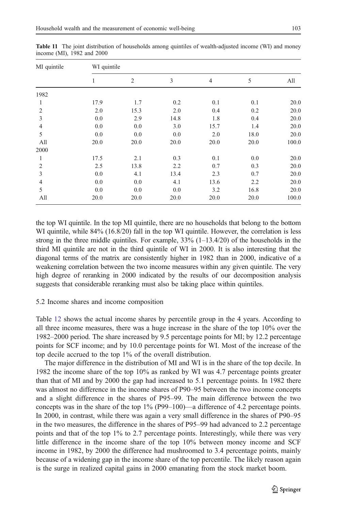| MI quintile    | WI quintile |                |      |                |      |       |
|----------------|-------------|----------------|------|----------------|------|-------|
|                | 1           | $\overline{2}$ | 3    | $\overline{4}$ | 5    | All   |
| 1982           |             |                |      |                |      |       |
| 1              | 17.9        | 1.7            | 0.2  | 0.1            | 0.1  | 20.0  |
| $\overline{2}$ | 2.0         | 15.3           | 2.0  | 0.4            | 0.2  | 20.0  |
| 3              | 0.0         | 2.9            | 14.8 | 1.8            | 0.4  | 20.0  |
| $\overline{4}$ | 0.0         | 0.0            | 3.0  | 15.7           | 1.4  | 20.0  |
| 5              | 0.0         | 0.0            | 0.0  | 2.0            | 18.0 | 20.0  |
| All            | 20.0        | 20.0           | 20.0 | 20.0           | 20.0 | 100.0 |
| 2000           |             |                |      |                |      |       |
| 1              | 17.5        | 2.1            | 0.3  | 0.1            | 0.0  | 20.0  |
| $\overline{2}$ | 2.5         | 13.8           | 2.2  | 0.7            | 0.3  | 20.0  |
| 3              | 0.0         | 4.1            | 13.4 | 2.3            | 0.7  | 20.0  |
| $\overline{4}$ | 0.0         | 0.0            | 4.1  | 13.6           | 2.2  | 20.0  |
| 5              | 0.0         | 0.0            | 0.0  | 3.2            | 16.8 | 20.0  |
| All            | 20.0        | 20.0           | 20.0 | 20.0           | 20.0 | 100.0 |

<span id="page-20-0"></span>Table 11 The joint distribution of households among quintiles of wealth-adjusted income (WI) and money income (MI), 1982 and 2000

the top WI quintile. In the top MI quintile, there are no households that belong to the bottom WI quintile, while 84% (16.8/20) fall in the top WI quintile. However, the correlation is less strong in the three middle quintiles. For example,  $33\%$  (1–13.4/20) of the households in the third MI quintile are not in the third quintile of WI in 2000. It is also interesting that the diagonal terms of the matrix are consistently higher in 1982 than in 2000, indicative of a weakening correlation between the two income measures within any given quintile. The very high degree of reranking in 2000 indicated by the results of our decomposition analysis suggests that considerable reranking must also be taking place within quintiles.

#### 5.2 Income shares and income composition

Table [12](#page-21-0) shows the actual income shares by percentile group in the 4 years. According to all three income measures, there was a huge increase in the share of the top 10% over the 1982–2000 period. The share increased by 9.5 percentage points for MI; by 12.2 percentage points for SCF income; and by 10.0 percentage points for WI. Most of the increase of the top decile accrued to the top 1% of the overall distribution.

The major difference in the distribution of MI and WI is in the share of the top decile. In 1982 the income share of the top 10% as ranked by WI was 4.7 percentage points greater than that of MI and by 2000 the gap had increased to 5.1 percentage points. In 1982 there was almost no difference in the income shares of P90–95 between the two income concepts and a slight difference in the shares of P95–99. The main difference between the two concepts was in the share of the top 1% (P99–100)—a difference of 4.2 percentage points. In 2000, in contrast, while there was again a very small difference in the shares of P90–95 in the two measures, the difference in the shares of P95–99 had advanced to 2.2 percentage points and that of the top 1% to 2.7 percentage points. Interestingly, while there was very little difference in the income share of the top 10% between money income and SCF income in 1982, by 2000 the difference had mushroomed to 3.4 percentage points, mainly because of a widening gap in the income share of the top percentile. The likely reason again is the surge in realized capital gains in 2000 emanating from the stock market boom.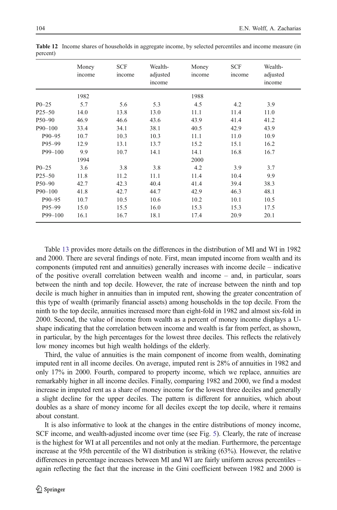|             | Money<br>income | <b>SCF</b><br>income | Wealth-<br>adjusted<br>income | Money<br>income | <b>SCF</b><br>income | Wealth-<br>adjusted<br>income |
|-------------|-----------------|----------------------|-------------------------------|-----------------|----------------------|-------------------------------|
|             | 1982            |                      |                               | 1988            |                      |                               |
| $P_{0-25}$  | 5.7             | 5.6                  | 5.3                           | 4.5             | 4.2                  | 3.9                           |
| $P25 - 50$  | 14.0            | 13.8                 | 13.0                          | 11.1            | 11.4                 | 11.0                          |
| P50-90      | 46.9            | 46.6                 | 43.6                          | 43.9            | 41.4                 | 41.2                          |
| $P90 - 100$ | 33.4            | 34.1                 | 38.1                          | 40.5            | 42.9                 | 43.9                          |
| P90-95      | 10.7            | 10.3                 | 10.3                          | 11.1            | 11.0                 | 10.9                          |
| P95-99      | 12.9            | 13.1                 | 13.7                          | 15.2            | 15.1                 | 16.2                          |
| $P99 - 100$ | 9.9             | 10.7                 | 14.1                          | 14.1            | 16.8                 | 16.7                          |
|             | 1994            |                      |                               | 2000            |                      |                               |
| $P_{0-25}$  | 3.6             | 3.8                  | 3.8                           | 4.2             | 3.9                  | 3.7                           |
| $P25 - 50$  | 11.8            | 11.2                 | 11.1                          | 11.4            | 10.4                 | 9.9                           |
| P50-90      | 42.7            | 42.3                 | 40.4                          | 41.4            | 39.4                 | 38.3                          |
| $P90 - 100$ | 41.8            | 42.7                 | 44.7                          | 42.9            | 46.3                 | 48.1                          |
| $P90 - 95$  | 10.7            | 10.5                 | 10.6                          | 10.2            | 10.1                 | 10.5                          |
| P95-99      | 15.0            | 15.5                 | 16.0                          | 15.3            | 15.3                 | 17.5                          |
| $P99 - 100$ | 16.1            | 16.7                 | 18.1                          | 17.4            | 20.9                 | 20.1                          |

<span id="page-21-0"></span>Table 12 Income shares of households in aggregate income, by selected percentiles and income measure (in percent)

Table [13](#page-22-0) provides more details on the differences in the distribution of MI and WI in 1982 and 2000. There are several findings of note. First, mean imputed income from wealth and its components (imputed rent and annuities) generally increases with income decile – indicative of the positive overall correlation between wealth and income – and, in particular, soars between the ninth and top decile. However, the rate of increase between the ninth and top decile is much higher in annuities than in imputed rent, showing the greater concentration of this type of wealth (primarily financial assets) among households in the top decile. From the ninth to the top decile, annuities increased more than eight-fold in 1982 and almost six-fold in 2000. Second, the value of income from wealth as a percent of money income displays a Ushape indicating that the correlation between income and wealth is far from perfect, as shown, in particular, by the high percentages for the lowest three deciles. This reflects the relatively low money incomes but high wealth holdings of the elderly.

Third, the value of annuities is the main component of income from wealth, dominating imputed rent in all income deciles. On average, imputed rent is 28% of annuities in 1982 and only 17% in 2000. Fourth, compared to property income, which we replace, annuities are remarkably higher in all income deciles. Finally, comparing 1982 and 2000, we find a modest increase in imputed rent as a share of money income for the lowest three deciles and generally a slight decline for the upper deciles. The pattern is different for annuities, which about doubles as a share of money income for all deciles except the top decile, where it remains about constant.

It is also informative to look at the changes in the entire distributions of money income, SCF income, and wealth-adjusted income over time (see Fig. [5\)](#page-23-0). Clearly, the rate of increase is the highest for WI at all percentiles and not only at the median. Furthermore, the percentage increase at the 95th percentile of the WI distribution is striking (63%). However, the relative differences in percentage increases between MI and WI are fairly uniform across percentiles – again reflecting the fact that the increase in the Gini coefficient between 1982 and 2000 is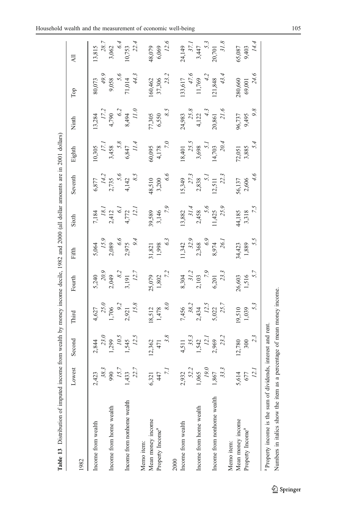| j<br>I<br>į<br>ï<br>j                                                                         |
|-----------------------------------------------------------------------------------------------|
| ¢<br>š<br>l                                                                                   |
|                                                                                               |
|                                                                                               |
| j<br>Ę                                                                                        |
|                                                                                               |
|                                                                                               |
|                                                                                               |
|                                                                                               |
|                                                                                               |
|                                                                                               |
|                                                                                               |
|                                                                                               |
| ֧֧֧֧֧֧֧֧֧ׅ֧֧֧֧֪ׅ֧֛֧֧֪֧֪ׅ֧֛֪֧֧֧֛֧֚֚֚֚֚֚֚֚֚֡֕֓֕֕֓֕֓֡֓֬֓֓֝֬֝֬֓֝֬֓֝֬֝֬֝֬֝֬֝֬֜֓֬֝֬֝֬֝֬֓֝֬֝֬֓֝֬֝֬֝֬ |
|                                                                                               |
| ì                                                                                             |
| $\ddot{\phantom{a}}$                                                                          |
| <b>STRAIN</b><br>j<br>ł                                                                       |
|                                                                                               |
|                                                                                               |
| -<br>-<br>-<br>ļ                                                                              |
| ׃<br>ì                                                                                        |
| Table                                                                                         |

<span id="page-22-0"></span>

|                                     | Lowest                                                              | Second                                                     | Third                                                      | Fourth                                                | Fifth                                                     | Sixth                                                    | Seventh                                                                                       | Eighth                                                                                 | Ninth                                                              | Top                                                                                        | $\overline{A}$                                                        |
|-------------------------------------|---------------------------------------------------------------------|------------------------------------------------------------|------------------------------------------------------------|-------------------------------------------------------|-----------------------------------------------------------|----------------------------------------------------------|-----------------------------------------------------------------------------------------------|----------------------------------------------------------------------------------------|--------------------------------------------------------------------|--------------------------------------------------------------------------------------------|-----------------------------------------------------------------------|
| 1982                                |                                                                     |                                                            |                                                            |                                                       |                                                           |                                                          |                                                                                               |                                                                                        |                                                                    |                                                                                            |                                                                       |
| Income from wealth                  | 2,423                                                               |                                                            |                                                            |                                                       |                                                           |                                                          |                                                                                               |                                                                                        |                                                                    | 80,073                                                                                     |                                                                       |
|                                     |                                                                     |                                                            |                                                            |                                                       |                                                           |                                                          |                                                                                               |                                                                                        |                                                                    |                                                                                            |                                                                       |
| Income from home wealth             |                                                                     |                                                            |                                                            |                                                       |                                                           |                                                          |                                                                                               |                                                                                        |                                                                    |                                                                                            |                                                                       |
|                                     |                                                                     |                                                            |                                                            |                                                       |                                                           |                                                          |                                                                                               |                                                                                        |                                                                    |                                                                                            |                                                                       |
| Income from nonhome wealth          | $\begin{array}{c} 38.3 \\ 990 \\ 15.7 \\ 1,433 \\ 22.7 \end{array}$ | $2,844$<br>$23.0$<br>$1,299$<br>$10.5$<br>$10.5$<br>$12.5$ | $4,627$<br>$25.0$<br>$1,706$<br>$9.2$<br>$2,921$<br>$15.8$ | 5,240<br>2,049<br>2,049<br>8,2<br>8,191<br>3,191      | $5,064$<br>$15.9$<br>$2,089$<br>$6,6$<br>$2,975$<br>$9.4$ | 7,184<br>$18.1$<br>$2,412$<br>$6.1$<br>$4,772$<br>$12.1$ | 6,877<br>$\begin{array}{c}\n 14.2 \\  2,735 \\  \hline\n 5,6 \\  4,142 \\  8.5\n \end{array}$ | 10,305<br>$\begin{array}{c} 17.1 \\ 17.1 \\ 3,458 \\ 5.8 \\ 6,847 \\ 11.4 \end{array}$ | 13,284<br>$17.2$<br>$4,790$<br>$6.2$<br>$6.3$<br>$8,494$<br>$11.0$ | $9,058$<br>9,058<br>5.6<br>71,014                                                          | 13,815<br>$28.7$<br>$3,062$<br>$6.4$<br>$10,753$<br>$22.4$            |
|                                     |                                                                     |                                                            |                                                            |                                                       |                                                           |                                                          |                                                                                               |                                                                                        |                                                                    | 44.3                                                                                       |                                                                       |
| Memo item:                          |                                                                     |                                                            |                                                            |                                                       |                                                           |                                                          |                                                                                               |                                                                                        |                                                                    |                                                                                            |                                                                       |
| Mean money income                   |                                                                     |                                                            |                                                            |                                                       |                                                           |                                                          | $48,510$<br>3,200<br>6.6                                                                      | $60,095$<br>4,178<br>7.0                                                               | $77,305$<br>6,550<br>8.5                                           | $160,462$<br>37,306<br>23.2                                                                | $48,079$<br>$6,069$<br>$12.6$                                         |
| Property Income <sup>a</sup>        | $6,321$<br>447<br>7.1                                               | $12,362$<br>471<br>3.8                                     | $18,512$<br>1,478<br>$8.0$                                 | $\begin{array}{c} 25,079 \\ 1,802 \\ 7.2 \end{array}$ | $31,821$<br>1,998<br>1,998                                | 39,589<br>3,146<br>7.9                                   |                                                                                               |                                                                                        |                                                                    |                                                                                            |                                                                       |
|                                     |                                                                     |                                                            |                                                            |                                                       |                                                           |                                                          |                                                                                               |                                                                                        |                                                                    |                                                                                            |                                                                       |
| 2000                                |                                                                     |                                                            |                                                            |                                                       |                                                           |                                                          |                                                                                               |                                                                                        |                                                                    |                                                                                            |                                                                       |
| Income from wealth                  |                                                                     |                                                            |                                                            |                                                       |                                                           |                                                          |                                                                                               |                                                                                        |                                                                    |                                                                                            |                                                                       |
|                                     |                                                                     |                                                            |                                                            |                                                       |                                                           |                                                          |                                                                                               |                                                                                        |                                                                    |                                                                                            |                                                                       |
| Income from home wealth             |                                                                     |                                                            |                                                            |                                                       |                                                           |                                                          |                                                                                               |                                                                                        |                                                                    |                                                                                            |                                                                       |
|                                     |                                                                     |                                                            |                                                            |                                                       |                                                           |                                                          |                                                                                               |                                                                                        |                                                                    |                                                                                            |                                                                       |
| Income from nonhome wealth          |                                                                     |                                                            |                                                            |                                                       |                                                           |                                                          |                                                                                               |                                                                                        |                                                                    |                                                                                            |                                                                       |
|                                     | $2,932$<br>52.2<br>52.2<br>53.3<br>1,867<br>1,867                   | 4,511<br>35.3<br>1,542<br>12.1<br>12.2<br>23.2             | $7,456$<br>38.2<br>2,434<br>12.5<br>5,022<br>5.7           | 8,304<br>31.2<br>2,103<br>7,9<br>6,201<br>6,201       | 11,342<br>32.9<br>2,368<br>2,974<br>8,974<br>8,974        | 13,882<br>31.4<br>2,458<br>2,455<br>11,425<br>15.9       | 15,349<br>$27.3$<br>$2,838$<br>$5.1$<br>$12,511$<br>$22.3$                                    | 18,401<br>25.5<br>3,698<br>3,698<br>14,703<br>14,703<br>20.4                           | 24,983<br>$25.8$<br>4,122<br>4.3<br>20,861<br>21.6                 | 133,617<br>$\begin{array}{r} 47.6 \\ 47.6 \\ 11,769 \\ 4.2 \\ 121,848 \\ 43.4 \end{array}$ | $24,149$<br>$37.1$<br>$3,447$<br>$5.3$<br>$5.3$<br>$20,701$<br>$31.8$ |
| Memo item:                          |                                                                     |                                                            |                                                            |                                                       |                                                           |                                                          |                                                                                               |                                                                                        |                                                                    |                                                                                            |                                                                       |
| Mean money income                   |                                                                     |                                                            |                                                            |                                                       |                                                           |                                                          |                                                                                               |                                                                                        |                                                                    |                                                                                            |                                                                       |
| Property Income <sup>a</sup>        |                                                                     |                                                            |                                                            |                                                       |                                                           |                                                          |                                                                                               |                                                                                        |                                                                    |                                                                                            |                                                                       |
|                                     | $5,614$<br>$677$<br>$12.1$                                          | $12,780$<br>300<br>2.3                                     | $19,510$<br>1,039<br>5.3                                   | $26,603$<br>1,516<br>5.7                              | $34,423$<br>1,889<br>5.5                                  | 44,185<br>3,318<br>7.5                                   | 56,137<br>2,606<br>4.6                                                                        | $72,051$<br>3,885<br>3,885<br>5.4                                                      | 96,737<br>9,495<br>9.8                                             | $280,660$<br>$69,001$<br>$24.6$                                                            | 65,087<br>9,403<br>14.4                                               |
| Property income is the sum of divio |                                                                     | dends, interest and rent                                   |                                                            |                                                       |                                                           |                                                          |                                                                                               |                                                                                        |                                                                    |                                                                                            |                                                                       |

Numbers in italics show the item as a percentage of mean money income.

Numbers in italics show the item as a percentage of mean money income.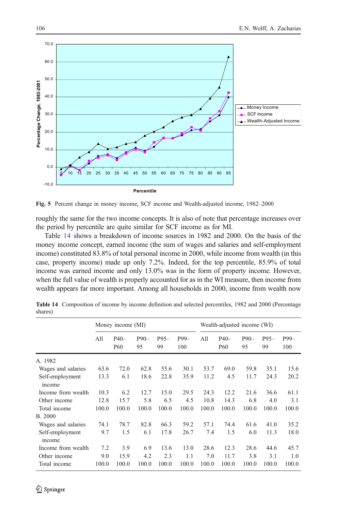<span id="page-23-0"></span>

Fig. 5 Percent change in money income, SCF income and Wealth-adjusted income, 1982–2000

roughly the same for the two income concepts. It is also of note that percentage increases over the period by percentile are quite similar for SCF income as for MI.

Table 14 shows a breakdown of income sources in 1982 and 2000. On the basis of the money income concept, earned income (the sum of wages and salaries and self-employment income) constituted 83.8% of total personal income in 2000, while income from wealth (in this case, property income) made up only 7.2%. Indeed, for the top percentile, 85.9% of total income was earned income and only 13.0% was in the form of property income. However, when the full value of wealth is properly accounted for as in the WI measure, then income from wealth appears far more important. Among all households in 2000, income from wealth now

|                           |       | Money income (MI)    |              |              |               |       | Wealth-adjusted income (WI) |              |              |             |
|---------------------------|-------|----------------------|--------------|--------------|---------------|-------|-----------------------------|--------------|--------------|-------------|
|                           | All   | $P40-$<br><b>P60</b> | $P90-$<br>95 | $P95-$<br>99 | $P99-$<br>100 | All   | $P40-$<br>P60               | $P90-$<br>95 | $P95-$<br>99 | P99-<br>100 |
| A. 1982                   |       |                      |              |              |               |       |                             |              |              |             |
| Wages and salaries        | 63.6  | 72.0                 | 62.8         | 55.6         | 30.1          | 53.7  | 69.0                        | 59.8         | 35.1         | 15.6        |
| Self-employment<br>income | 13.3  | 6.1                  | 18.6         | 22.8         | 35.9          | 11.2  | 4.5                         | 11.7         | 24.3         | 20.2        |
| Income from wealth        | 10.3  | 6.2                  | 12.7         | 15.0         | 29.5          | 24.3  | 12.2                        | 21.6         | 36.6         | 61.1        |
| Other income              | 12.8  | 15.7                 | 5.8          | 6.5          | 4.5           | 10.8  | 14.3                        | 6.8          | 4.0          | 3.1         |
| Total income              | 100.0 | 100.0                | 100.0        | 100.0        | 100.0         | 100.0 | 100.0                       | 100.0        | 100.0        | 100.0       |
| <b>B.</b> 2000            |       |                      |              |              |               |       |                             |              |              |             |
| Wages and salaries        | 74.1  | 78.7                 | 82.8         | 66.3         | 59.2          | 57.1  | 74.4                        | 61.6         | 41.0         | 35.2        |
| Self-employment<br>income | 9.7   | 1.5                  | 6.1          | 17.8         | 26.7          | 7.4   | 1.5                         | 6.0          | 11.3         | 18.0        |
| Income from wealth        | 7.2   | 3.9                  | 6.9          | 13.6         | 13.0          | 28.6  | 12.3                        | 28.6         | 44.6         | 45.7        |
| Other income              | 9.0   | 15.9                 | 4.2          | 2.3          | 1.1           | 7.0   | 11.7                        | 3.8          | 3.1          | 1.0         |
| Total income              | 100.0 | 100.0                | 100.0        | 100.0        | 100.0         | 100.0 | 100.0                       | 100.0        | 100.0        | 100.0       |

Table 14 Composition of income by income definition and selected percentiles, 1982 and 2000 (Percentage shares)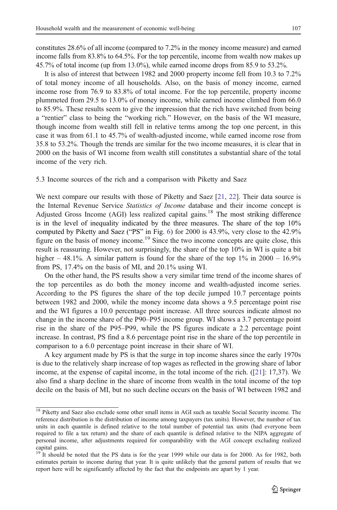constitutes 28.6% of all income (compared to 7.2% in the money income measure) and earned income falls from 83.8% to 64.5%. For the top percentile, income from wealth now makes up 45.7% of total income (up from 13.0%), while earned income drops from 85.9 to 53.2%.

It is also of interest that between 1982 and 2000 property income fell from 10.3 to 7.2% of total money income of all households. Also, on the basis of money income, earned income rose from 76.9 to 83.8% of total income. For the top percentile, property income plummeted from 29.5 to 13.0% of money income, while earned income climbed from 66.0 to 85.9%. These results seem to give the impression that the rich have switched from being a "rentier" class to being the "working rich." However, on the basis of the WI measure, though income from wealth still fell in relative terms among the top one percent, in this case it was from 61.1 to 45.7% of wealth-adjusted income, while earned income rose from 35.8 to 53.2%. Though the trends are similar for the two income measures, it is clear that in 2000 on the basis of WI income from wealth still constitutes a substantial share of the total income of the very rich.

### 5.3 Income sources of the rich and a comparison with Piketty and Saez

We next compare our results with those of Piketty and Saez [[21](#page-32-0), [22](#page-32-0)]. Their data source is the Internal Revenue Service *Statistics of Income* database and their income concept is Adjusted Gross Income (AGI) less realized capital gains.<sup>18</sup> The most striking difference is in the level of inequality indicated by the three measures. The share of the top 10% computed by Piketty and Saez ("PS" in Fig. [6](#page-25-0)) for 2000 is 43.9%, very close to the 42.9% figure on the basis of money income.<sup>19</sup> Since the two income concepts are quite close, this result is reassuring. However, not surprisingly, the share of the top 10% in WI is quite a bit higher – 48.1%. A similar pattern is found for the share of the top  $1\%$  in  $2000 - 16.9\%$ from PS, 17.4% on the basis of MI, and 20.1% using WI.

On the other hand, the PS results show a very similar time trend of the income shares of the top percentiles as do both the money income and wealth-adjusted income series. According to the PS figures the share of the top decile jumped 10.7 percentage points between 1982 and 2000, while the money income data shows a 9.5 percentage point rise and the WI figures a 10.0 percentage point increase. All three sources indicate almost no change in the income share of the P90–P95 income group. WI shows a 3.7 percentage point rise in the share of the P95–P99, while the PS figures indicate a 2.2 percentage point increase. In contrast, PS find a 8.6 percentage point rise in the share of the top percentile in comparison to a 6.0 percentage point increase in their share of WI.

A key argument made by PS is that the surge in top income shares since the early 1970s is due to the relatively sharp increase of top wages as reflected in the growing share of labor income, at the expense of capital income, in the total income of the rich. ([[21](#page-32-0)]: 17,37). We also find a sharp decline in the share of income from wealth in the total income of the top decile on the basis of MI, but no such decline occurs on the basis of WI between 1982 and

<sup>&</sup>lt;sup>18</sup> Piketty and Saez also exclude some other small items in AGI such as taxable Social Security income. The reference distribution is the distribution of income among taxpayers (tax units). However, the number of tax units in each quantile is defined relative to the total number of potential tax units (had everyone been required to file a tax return) and the share of each quantile is defined relative to the NIPA aggregate of personal income, after adjustments required for comparability with the AGI concept excluding realized capital gains.

<sup>&</sup>lt;sup>19</sup> It should be noted that the PS data is for the year 1999 while our data is for 2000. As for 1982, both estimates pertain to income during that year. It is quite unlikely that the general pattern of results that we report here will be significantly affected by the fact that the endpoints are apart by 1 year.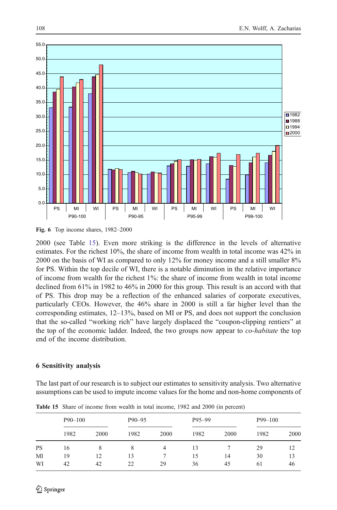<span id="page-25-0"></span>

Fig. 6 Top income shares, 1982–2000

2000 (see Table 15). Even more striking is the difference in the levels of alternative estimates. For the richest 10%, the share of income from wealth in total income was 42% in 2000 on the basis of WI as compared to only 12% for money income and a still smaller 8% for PS. Within the top decile of WI, there is a notable diminution in the relative importance of income from wealth for the richest 1%: the share of income from wealth in total income declined from 61% in 1982 to 46% in 2000 for this group. This result is an accord with that of PS. This drop may be a reflection of the enhanced salaries of corporate executives, particularly CEOs. However, the 46% share in 2000 is still a far higher level than the corresponding estimates, 12–13%, based on MI or PS, and does not support the conclusion that the so-called "working rich" have largely displaced the "coupon-clipping rentiers" at the top of the economic ladder. Indeed, the two groups now appear to *co-habitate* the top end of the income distribution.

# 6 Sensitivity analysis

The last part of our research is to subject our estimates to sensitivity analysis. Two alternative assumptions can be used to impute income values for the home and non-home components of

|           | $P90 - 100$ |      | $P90 - 95$ |      | P95-99 |      | $P99 - 100$ |      |
|-----------|-------------|------|------------|------|--------|------|-------------|------|
|           | 1982        | 2000 | 1982       | 2000 | 1982   | 2000 | 1982        | 2000 |
| <b>PS</b> | 16          | 8    | 8          | 4    | 13     |      | 29          | 12   |
| MI        | 19          | 12   | 13         |      | 15     | 14   | 30          | 13   |
| WI        | 42          | 42   | 22         | 29   | 36     | 45   | 61          | 46   |

Table 15 Share of income from wealth in total income, 1982 and 2000 (in percent)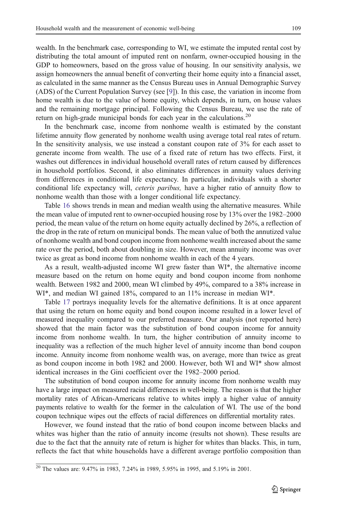wealth. In the benchmark case, corresponding to WI, we estimate the imputed rental cost by distributing the total amount of imputed rent on nonfarm, owner-occupied housing in the GDP to homeowners, based on the gross value of housing. In our sensitivity analysis, we assign homeowners the annual benefit of converting their home equity into a financial asset, as calculated in the same manner as the Census Bureau uses in Annual Demographic Survey (ADS) of the Current Population Survey (see [\[9](#page-31-0)]). In this case, the variation in income from home wealth is due to the value of home equity, which depends, in turn, on house values and the remaining mortgage principal. Following the Census Bureau, we use the rate of return on high-grade municipal bonds for each year in the calculations.<sup>20</sup>

In the benchmark case, income from nonhome wealth is estimated by the constant lifetime annuity flow generated by nonhome wealth using average total real rates of return. In the sensitivity analysis, we use instead a constant coupon rate of 3% for each asset to generate income from wealth. The use of a fixed rate of return has two effects. First, it washes out differences in individual household overall rates of return caused by differences in household portfolios. Second, it also eliminates differences in annuity values deriving from differences in conditional life expectancy. In particular, individuals with a shorter conditional life expectancy will, *ceteris paribus*, have a higher ratio of annuity flow to nonhome wealth than those with a longer conditional life expectancy.

Table [16](#page-27-0) shows trends in mean and median wealth using the alternative measures. While the mean value of imputed rent to owner-occupied housing rose by 13% over the 1982–2000 period, the mean value of the return on home equity actually declined by 26%, a reflection of the drop in the rate of return on municipal bonds. The mean value of both the annutized value of nonhome wealth and bond coupon income from nonhome wealth increased about the same rate over the period, both about doubling in size. However, mean annuity income was over twice as great as bond income from nonhome wealth in each of the 4 years.

As a result, wealth-adjusted income WI grew faster than WI\*, the alternative income measure based on the return on home equity and bond coupon income from nonhome wealth. Between 1982 and 2000, mean WI climbed by 49%, compared to a 38% increase in WI\*, and median WI gained 18%, compared to an 11% increase in median WI\*.

Table [17](#page-28-0) portrays inequality levels for the alternative definitions. It is at once apparent that using the return on home equity and bond coupon income resulted in a lower level of measured inequality compared to our preferred measure. Our analysis (not reported here) showed that the main factor was the substitution of bond coupon income for annuity income from nonhome wealth. In turn, the higher contribution of annuity income to inequality was a reflection of the much higher level of annuity income than bond coupon income. Annuity income from nonhome wealth was, on average, more than twice as great as bond coupon income in both 1982 and 2000. However, both WI and WI\* show almost identical increases in the Gini coefficient over the 1982–2000 period.

The substitution of bond coupon income for annuity income from nonhome wealth may have a large impact on measured racial differences in well-being. The reason is that the higher mortality rates of African-Americans relative to whites imply a higher value of annuity payments relative to wealth for the former in the calculation of WI. The use of the bond coupon technique wipes out the effects of racial differences on differential mortality rates.

However, we found instead that the ratio of bond coupon income between blacks and whites was higher than the ratio of annuity income (results not shown). These results are due to the fact that the annuity rate of return is higher for whites than blacks. This, in turn, reflects the fact that white households have a different average portfolio composition than

 $\frac{20 \text{ The}}{20 \text{ The}}$  values are: 9.47% in 1983, 7.24% in 1989, 5.95% in 1995, and 5.19% in 2001.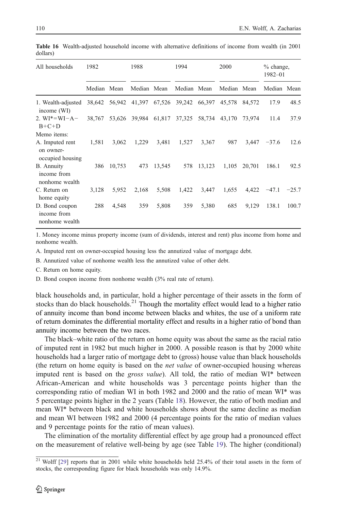| All households                                     | 1982        |               | 1988                        |        | 1994          |        | 2000          |        | $%$ change,<br>1982-01 |         |
|----------------------------------------------------|-------------|---------------|-----------------------------|--------|---------------|--------|---------------|--------|------------------------|---------|
|                                                    | Median Mean |               | Median Mean                 |        | Median Mean   |        | Median Mean   |        | Median Mean            |         |
| 1. Wealth-adjusted<br>income (WI)                  |             | 38,642 56,942 | 41,397                      |        | 67,526 39,242 | 66,397 | 45,578 84,572 |        | 17.9                   | 48.5    |
| 2. $WI^* = WI - A -$<br>$B+C+D$                    | 38,767      |               | 53,626 39,984 61,817 37,325 |        |               |        | 58,734 43,170 | 73,974 | 11.4                   | 37.9    |
| Memo items:                                        |             |               |                             |        |               |        |               |        |                        |         |
| A. Imputed rent<br>on owner-<br>occupied housing   | 1,581       | 3,062         | 1,229                       | 3,481  | 1,527         | 3,367  | 987           | 3,447  | $-37.6$                | 12.6    |
| <b>B.</b> Annuity<br>income from<br>nonhome wealth | 386         | 10,753        | 473                         | 13,545 | 578           | 13,123 | 1,105         | 20,701 | 186.1                  | 92.5    |
| C. Return on<br>home equity                        | 3,128       | 5,952         | 2,168                       | 5,508  | 1,422         | 3,447  | 1,655         | 4,422  | $-47.1$                | $-25.7$ |
| D. Bond coupon<br>income from<br>nonhome wealth    | 288         | 4,548         | 359                         | 5,808  | 359           | 5,380  | 685           | 9,129  | 138.1                  | 100.7   |

<span id="page-27-0"></span>Table 16 Wealth-adjusted household income with alternative definitions of income from wealth (in 2001 dollars)

1. Money income minus property income (sum of dividends, interest and rent) plus income from home and nonhome wealth.

A. Imputed rent on owner-occupied housing less the annutized value of mortgage debt.

B. Annutized value of nonhome wealth less the annutized value of other debt.

C. Return on home equity.

D. Bond coupon income from nonhome wealth (3% real rate of return).

black households and, in particular, hold a higher percentage of their assets in the form of stocks than do black households.<sup>21</sup> Though the mortality effect would lead to a higher ratio of annuity income than bond income between blacks and whites, the use of a uniform rate of return dominates the differential mortality effect and results in a higher ratio of bond than annuity income between the two races.

The black–white ratio of the return on home equity was about the same as the racial ratio of imputed rent in 1982 but much higher in 2000. A possible reason is that by 2000 white households had a larger ratio of mortgage debt to (gross) house value than black households (the return on home equity is based on the *net value* of owner-occupied housing whereas imputed rent is based on the gross value). All told, the ratio of median WI\* between African-American and white households was 3 percentage points higher than the corresponding ratio of median WI in both 1982 and 2000 and the ratio of mean WI\* was 5 percentage points higher in the 2 years (Table [18](#page-29-0)). However, the ratio of both median and mean WI\* between black and white households shows about the same decline as median and mean WI between 1982 and 2000 (4 percentage points for the ratio of median values and 9 percentage points for the ratio of mean values).

The elimination of the mortality differential effect by age group had a pronounced effect on the measurement of relative well-being by age (see Table [19](#page-29-0)). The higher (conditional)

<sup>&</sup>lt;sup>21</sup> Wolff [[29\]](#page-32-0) reports that in 2001 while white households held 25.4% of their total assets in the form of stocks, the corresponding figure for black households was only 14.9%.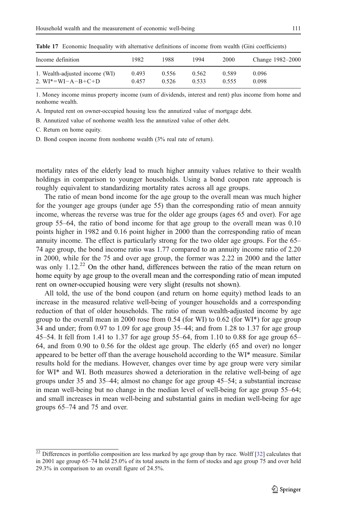| Income definition                                                | 1982           | 1988           | 1994           | 2000           | Change 1982–2000 |
|------------------------------------------------------------------|----------------|----------------|----------------|----------------|------------------|
| 1. Wealth-adjusted income (WI)<br>2. $WI^* = WI - A - B + C + D$ | 0.493<br>0.457 | 0.556<br>0.526 | 0.562<br>0.533 | 0.589<br>0.555 | 0.096<br>0.098   |

<span id="page-28-0"></span>Table 17 Economic Inequality with alternative definitions of income from wealth (Gini coefficients)

1. Money income minus property income (sum of dividends, interest and rent) plus income from home and nonhome wealth.

A. Imputed rent on owner-occupied housing less the annutized value of mortgage debt.

B. Annutized value of nonhome wealth less the annutized value of other debt.

C. Return on home equity.

D. Bond coupon income from nonhome wealth (3% real rate of return).

mortality rates of the elderly lead to much higher annuity values relative to their wealth holdings in comparison to younger households. Using a bond coupon rate approach is roughly equivalent to standardizing mortality rates across all age groups.

The ratio of mean bond income for the age group to the overall mean was much higher for the younger age groups (under age 55) than the corresponding ratio of mean annuity income, whereas the reverse was true for the older age groups (ages 65 and over). For age group 55–64, the ratio of bond income for that age group to the overall mean was 0.10 points higher in 1982 and 0.16 point higher in 2000 than the corresponding ratio of mean annuity income. The effect is particularly strong for the two older age groups. For the 65– 74 age group, the bond income ratio was 1.77 compared to an annuity income ratio of 2.20 in 2000, while for the 75 and over age group, the former was 2.22 in 2000 and the latter was only 1.12.<sup>22</sup> On the other hand, differences between the ratio of the mean return on home equity by age group to the overall mean and the corresponding ratio of mean imputed rent on owner-occupied housing were very slight (results not shown).

All told, the use of the bond coupon (and return on home equity) method leads to an increase in the measured relative well-being of younger households and a corresponding reduction of that of older households. The ratio of mean wealth-adjusted income by age group to the overall mean in 2000 rose from 0.54 (for WI) to 0.62 (for WI\*) for age group 34 and under; from 0.97 to 1.09 for age group 35–44; and from 1.28 to 1.37 for age group 45–54. It fell from 1.41 to 1.37 for age group 55–64, from 1.10 to 0.88 for age group 65– 64, and from 0.90 to 0.56 for the oldest age group. The elderly (65 and over) no longer appeared to be better off than the average household according to the WI\* measure. Similar results hold for the medians. However, changes over time by age group were very similar for WI\* and WI. Both measures showed a deterioration in the relative well-being of age groups under 35 and 35–44; almost no change for age group 45–54; a substantial increase in mean well-being but no change in the median level of well-being for age group 55–64; and small increases in mean well-being and substantial gains in median well-being for age groups 65–74 and 75 and over.

 $\frac{22}{22}$  Differences in portfolio composition are less marked by age group than by race. Wolff [[32\]](#page-32-0) calculates that in 2001 age group 65–74 held 25.0% of its total assets in the form of stocks and age group 75 and over held 29.3% in comparison to an overall figure of 24.5%.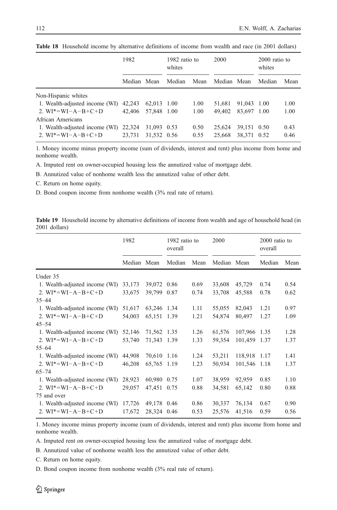|                                       | 1982        |             | 1982 ratio to<br>whites |      | 2000        |             | $2000$ ratio to<br>whites |      |
|---------------------------------------|-------------|-------------|-------------------------|------|-------------|-------------|---------------------------|------|
|                                       | Median Mean |             | Median                  | Mean | Median Mean |             | Median                    | Mean |
| Non-Hispanic whites                   |             |             |                         |      |             |             |                           |      |
| 1. Wealth-adjusted income (WI)        | 42.243      | 62.013 1.00 |                         | 1.00 | 51.681      | 91,043      | 1.00                      | 1.00 |
| 2. $WI^* = WI - A - B + C + D$        | 42,406      | 57,848 1.00 |                         | 1.00 | 49.402      | 83.697      | 1.00                      | 1.00 |
| African Americans                     |             |             |                         |      |             |             |                           |      |
| 1. Wealth-adjusted income (WI) 22,324 |             | 31,093 0.53 |                         | 0.50 | 25,624      | 39,151 0.50 |                           | 0.43 |
| 2. $WI^* = WI - A - B + C + D$        | 23.731      | 31,532 0.56 |                         | 0.55 | 25,668      | 38,371 0.52 |                           | 0.46 |

<span id="page-29-0"></span>Table 18 Household income by alternative definitions of income from wealth and race (in 2001 dollars)

1. Money income minus property income (sum of dividends, interest and rent) plus income from home and nonhome wealth.

A. Imputed rent on owner-occupied housing less the annutized value of mortgage debt.

B. Annutized value of nonhome wealth less the annutized value of other debt.

C. Return on home equity.

D. Bond coupon income from nonhome wealth (3% real rate of return).

Table 19 Household income by alternative definitions of income from wealth and age of household head (in 2001 dollars)

|                                | 1982   |             | 1982 ratio to<br>overall |      | 2000        |         | 2000 ratio to<br>overall |      |
|--------------------------------|--------|-------------|--------------------------|------|-------------|---------|--------------------------|------|
|                                | Median | Mean        | Median                   | Mean | Median Mean |         | Median                   | Mean |
| Under 35                       |        |             |                          |      |             |         |                          |      |
| 1. Wealth-adjusted income (WI) | 33,173 | 39,072      | 0.86                     | 0.69 | 33,608      | 45,729  | 0.74                     | 0.54 |
| 2. $WI^* = WI - A - B + C + D$ | 33,675 | 39,799      | 0.87                     | 0.74 | 33,708      | 45,588  | 0.78                     | 0.62 |
| $35 - 44$                      |        |             |                          |      |             |         |                          |      |
| 1. Wealth-adjusted income (WI) | 51,617 | 63,246      | 1.34                     | 1.11 | 55,055      | 82,043  | 1.21                     | 0.97 |
| 2. $WI^* = WI - A - B + C + D$ | 54,003 | 65,151      | 1.39                     | 1.21 | 54,874      | 80,497  | 1.27                     | 1.09 |
| $45 - 54$                      |        |             |                          |      |             |         |                          |      |
| 1. Wealth-adjusted income (WI) | 52,146 | 71,562      | 1.35                     | 1.26 | 61,576      | 107,966 | 1.35                     | 1.28 |
| 2. $WI^* = WI - A - B + C + D$ | 53,740 | 71,343      | 1.39                     | 1.33 | 59,354      | 101,459 | 1.37                     | 1.37 |
| $55 - 64$                      |        |             |                          |      |             |         |                          |      |
| 1. Wealth-adjusted income (WI) | 44,908 | 70,610      | 1.16                     | 1.24 | 53,211      | 118,918 | 1.17                     | 1.41 |
| 2. $WI^* = WI - A - B + C + D$ | 46,208 | 65,765      | 1.19                     | 1.23 | 50,934      | 101,546 | 1.18                     | 1.37 |
| $65 - 74$                      |        |             |                          |      |             |         |                          |      |
| 1. Wealth-adjusted income (WI) | 28,923 | 60,980      | 0.75                     | 1.07 | 38,959      | 92,959  | 0.85                     | 1.10 |
| 2. $WI^* = WI - A - B + C + D$ | 29,057 | 47,451      | 0.75                     | 0.88 | 34,581      | 65,142  | 0.80                     | 0.88 |
| 75 and over                    |        |             |                          |      |             |         |                          |      |
| 1. Wealth-adjusted income (WI) | 17,726 | 49,178 0.46 |                          | 0.86 | 30,337      | 76,134  | 0.67                     | 0.90 |
| 2. $WI^* = WI - A - B + C + D$ | 17,672 | 28,324      | 0.46                     | 0.53 | 25,576      | 41,516  | 0.59                     | 0.56 |

1. Money income minus property income (sum of dividends, interest and rent) plus income from home and nonhome wealth.

A. Imputed rent on owner-occupied housing less the annutized value of mortgage debt.

B. Annutized value of nonhome wealth less the annutized value of other debt.

C. Return on home equity.

D. Bond coupon income from nonhome wealth (3% real rate of return).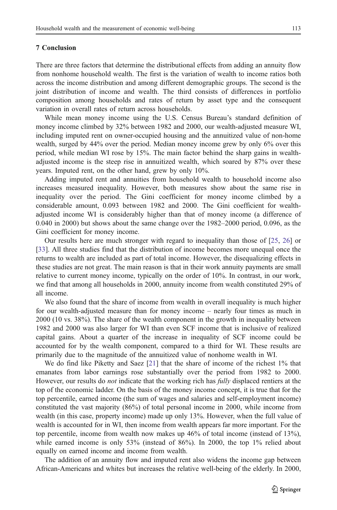#### <span id="page-30-0"></span>7 Conclusion

There are three factors that determine the distributional effects from adding an annuity flow from nonhome household wealth. The first is the variation of wealth to income ratios both across the income distribution and among different demographic groups. The second is the joint distribution of income and wealth. The third consists of differences in portfolio composition among households and rates of return by asset type and the consequent variation in overall rates of return across households.

While mean money income using the U.S. Census Bureau's standard definition of money income climbed by 32% between 1982 and 2000, our wealth-adjusted measure WI, including imputed rent on owner-occupied housing and the annuitized value of non-home wealth, surged by 44% over the period. Median money income grew by only 6% over this period, while median WI rose by 15%. The main factor behind the sharp gains in wealthadjusted income is the steep rise in annuitized wealth, which soared by 87% over these years. Imputed rent, on the other hand, grew by only 10%.

Adding imputed rent and annuities from household wealth to household income also increases measured inequality. However, both measures show about the same rise in inequality over the period. The Gini coefficient for money income climbed by a considerable amount, 0.093 between 1982 and 2000. The Gini coefficient for wealthadjusted income WI is considerably higher than that of money income (a difference of 0.040 in 2000) but shows about the same change over the 1982–2000 period, 0.096, as the Gini coefficient for money income.

Our results here are much stronger with regard to inequality than those of [\[25,](#page-32-0) [26](#page-32-0)] or [[33](#page-32-0)]. All three studies find that the distribution of income becomes more unequal once the returns to wealth are included as part of total income. However, the disequalizing effects in these studies are not great. The main reason is that in their work annuity payments are small relative to current money income, typically on the order of 10%. In contrast, in our work, we find that among all households in 2000, annuity income from wealth constituted 29% of all income.

We also found that the share of income from wealth in overall inequality is much higher for our wealth-adjusted measure than for money income – nearly four times as much in 2000 (10 vs. 38%). The share of the wealth component in the growth in inequality between 1982 and 2000 was also larger for WI than even SCF income that is inclusive of realized capital gains. About a quarter of the increase in inequality of SCF income could be accounted for by the wealth component, compared to a third for WI. These results are primarily due to the magnitude of the annuitized value of nonhome wealth in WI.

We do find like Piketty and Saez [\[21\]](#page-32-0) that the share of income of the richest 1% that emanates from labor earnings rose substantially over the period from 1982 to 2000. However, our results do *not* indicate that the working rich has *fully* displaced rentiers at the top of the economic ladder. On the basis of the money income concept, it is true that for the top percentile, earned income (the sum of wages and salaries and self-employment income) constituted the vast majority (86%) of total personal income in 2000, while income from wealth (in this case, property income) made up only 13%. However, when the full value of wealth is accounted for in WI, then income from wealth appears far more important. For the top percentile, income from wealth now makes up 46% of total income (instead of 13%), while earned income is only 53% (instead of 86%). In 2000, the top 1% relied about equally on earned income and income from wealth.

The addition of an annuity flow and imputed rent also widens the income gap between African-Americans and whites but increases the relative well-being of the elderly. In 2000,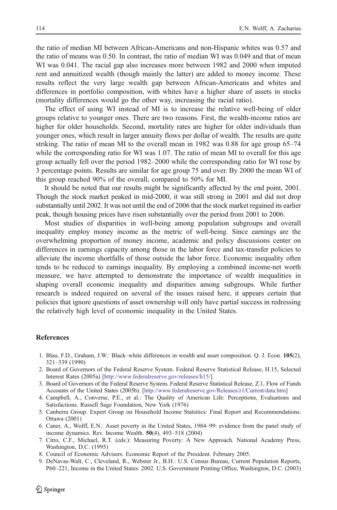<span id="page-31-0"></span>the ratio of median MI between African-Americans and non-Hispanic whites was 0.57 and the ratio of means was 0.50. In contrast, the ratio of median WI was 0.049 and that of mean WI was 0.041. The racial gap also increases more between 1982 and 2000 when imputed rent and annuitized wealth (though mainly the latter) are added to money income. These results reflect the very large wealth gap between African-Americans and whites and differences in portfolio composition, with whites have a higher share of assets in stocks (mortality differences would go the other way, increasing the racial ratio).

The effect of using WI instead of MI is to increase the relative well-being of older groups relative to younger ones. There are two reasons. First, the wealth-income ratios are higher for older households. Second, mortality rates are higher for older individuals than younger ones, which result in larger annuity flows per dollar of wealth. The results are quite striking. The ratio of mean MI to the overall mean in 1982 was 0.88 for age group 65–74 while the corresponding ratio for WI was 1.07. The ratio of mean MI to overall for this age group actually fell over the period 1982–2000 while the corresponding ratio for WI rose by 3 percentage points. Results are similar for age group 75 and over. By 2000 the mean WI of this group reached 90% of the overall, compared to 50% for MI.

It should be noted that our results might be significantly affected by the end point, 2001. Though the stock market peaked in mid-2000, it was still strong in 2001 and did not drop substantially until 2002. It was not until the end of 2006 that the stock market regained its earlier peak, though housing prices have risen substantially over the period from 2001 to 2006.

Most studies of disparities in well-being among population subgroups and overall inequality employ money income as the metric of well-being. Since earnings are the overwhelming proportion of money income, academic and policy discussions center on differences in earnings capacity among those in the labor force and tax-transfer policies to alleviate the income shortfalls of those outside the labor force. Economic inequality often tends to be reduced to earnings inequality. By employing a combined income-net worth measure, we have attempted to demonstrate the importance of wealth inequalities in shaping overall economic inequality and disparities among subgroups. While further research is indeed required on several of the issues raised here, it appears certain that policies that ignore questions of asset ownership will only have partial success in redressing the relatively high level of economic inequality in the United States.

#### **References**

- 1. Blau, F.D., Graham, J.W.: Black–white differences in wealth and asset composition. Q. J. Econ. 105(2), 321–339 (1990)
- 2. Board of Governors of the Federal Reserve System. Federal Reserve Statistical Release, H.15, Selected Interest Rates (2005a) [[http://www.federalreserve.gov/releases/h15/\]](http://www.federalreserve.gov/releases/h15/)
- 3. Board of Governors of the Federal Reserve System. Federal Reserve Statistical Release, Z.1, Flow of Funds Accounts of the United States (2005b). [\[http://www.federalreserve.gov/Releases/z1/Current/data.htm\]](http://www.federalreserve.gov/Releases/z1/Current/data.htm)
- 4. Campbell, A., Converse, P.E., et al.: The Quality of American Life: Perceptions, Evaluations and Satisfactions. Russell Sage Foundation, New York (1976)
- 5. Canberra Group. Expert Group on Household Income Statistics: Final Report and Recommendations. Ottawa (2001)
- 6. Caner, A., Wolff, E.N.: Asset poverty in the United States, 1984–99: evidence from the panel study of income dynamics. Rev. Income Wealth. 50(4), 493–518 (2004)
- 7. Citro, C.F., Michael, R.T. (eds.): Measuring Poverty: A New Approach. National Academy Press, Washington, D.C. (1995)
- 8. Council of Economic Advisers. Economic Report of the President. February 2005.
- 9. DeNavas-Walt, C., Cleveland, R., Webster Jr., B.H.: U.S. Census Bureau, Current Population Reports, P60–221, Income in the United States: 2002. U.S. Government Printing Office, Washington, D.C. (2003)